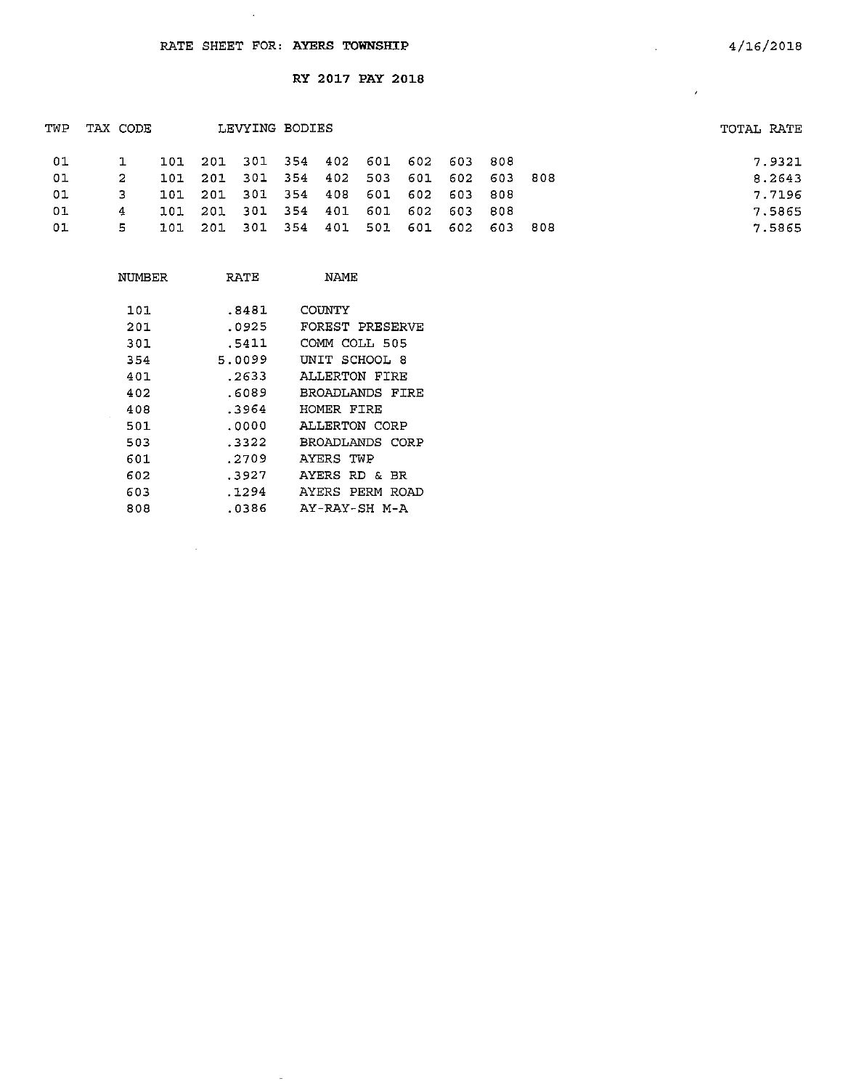$\sim$ 

RY 2017 PAY 2018

| TWP | TAX CODE |            |         | LEVYING BODIES                  |         |     |         |       |       |       | TOTAL RATE |
|-----|----------|------------|---------|---------------------------------|---------|-----|---------|-------|-------|-------|------------|
| 01  |          | 101        |         | 201 301 354 402 601 602 603 808 |         |     |         |       |       |       | 7.9321     |
| 01  | 2        | 101        |         | 201 301 354 402                 |         | 503 | 601 602 |       | 603   | - 808 | 8.2643     |
| 01  | 3        | <b>101</b> |         | 201 301 354 408                 |         | 601 | 602     | 603   | 808   |       | 7.7196     |
| 01  | 4        | 101        | 201 301 |                                 | 354 401 | 601 | - 602   | - 603 | - 803 |       | 7.5865     |
| 01  | 5.       | 101        | -201    | - 301                           | 354 401 | 501 | 601     | 602   | - 603 | -808  | 7.5865     |

| NUMBER | RATE   | NAME            |
|--------|--------|-----------------|
| 101    | .8481  | COUNTY          |
| 201    | .0925  | FOREST PRESERVE |
| 301    | .5411  | COMM COLL 505   |
| 354    | 5.0099 | UNIT SCHOOL 8   |
| 401    | . 2633 | ALLERTON FIRE   |
| 402    | .6089  | BROADLANDS FIRF |
| 408    | .3964  | HOMER FIRE      |
| 501    | .0000  | ALLERTON CORP   |
| 503    | - 3322 | BROADLANDS CORP |
| 601    | .2709  | AYERS TWP       |
| 602    | .3927  | AYERS RD & BR   |
| 603    | . 1294 | AYERS PERM ROAD |
| 808    | .0386  | AY-RAY-SH M-A   |

 $\omega$ 

 $\sim 10^7$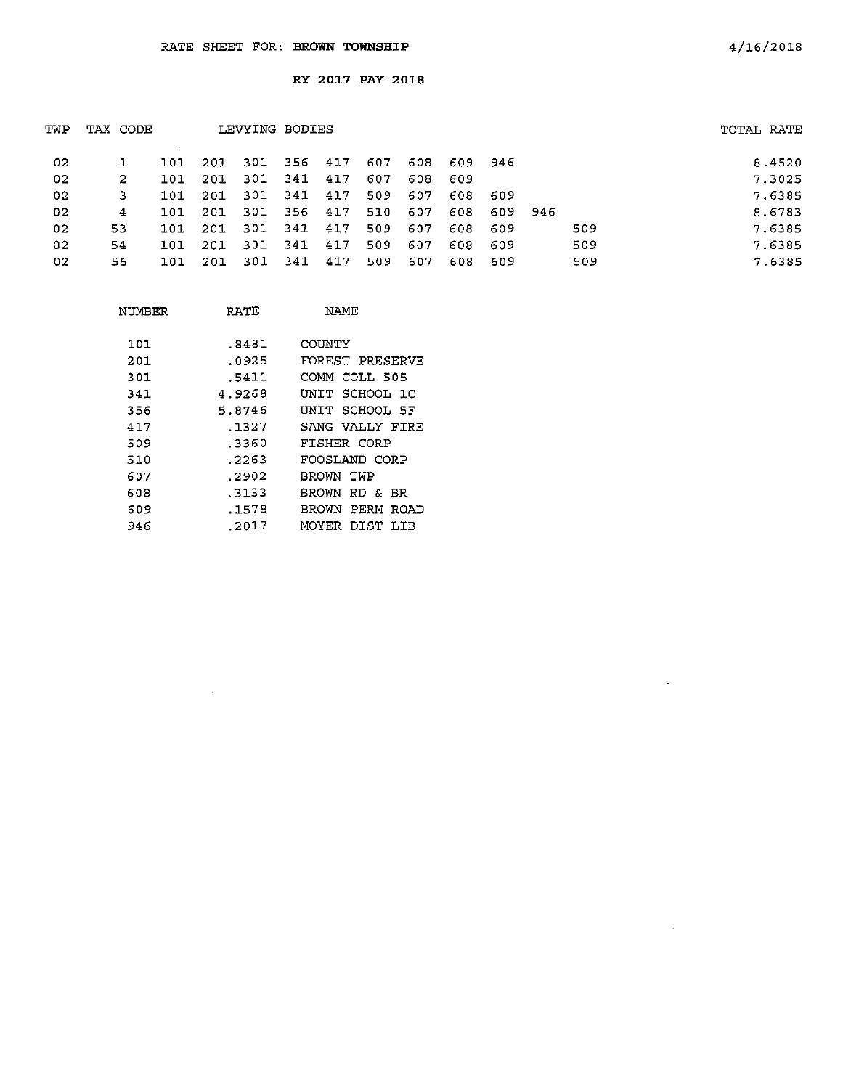| TWP             | TAX CODE |      |     | LEVYING BODIES |       |     |     |     |      |      |       |     | TOTAL RATE |
|-----------------|----------|------|-----|----------------|-------|-----|-----|-----|------|------|-------|-----|------------|
| 02 <sub>1</sub> |          | 101  | 201 | 301            | - 356 | 417 | 607 | 608 | 609  | -946 |       |     | 8.4520     |
| 02              | 2        | 101  | 201 | 301            | 341   | 417 | 607 | 608 | -609 |      |       |     | 7.3025     |
| 02              | 3        | 101. | 201 | 301            | 341   | 417 | 509 | 607 | 608. | -609 |       |     | 7.6385     |
| 02              | 4        | 101  | 201 | 301            | -356  | 417 | 510 | 607 | 608  | 609  | - 946 |     | 8.6783     |
| 02              | 53       | 101  | 201 | -301           | 341   | 417 | 509 | 607 | 608  | -609 |       | 509 | 7.6385     |
| 02              | 54       | 101  | 201 | 301            | 341   | 417 | 509 | 607 | 608  | 609  |       | 509 | 7.6385     |
| 02              | 56       | 101  | 201 | -301           | -341  | 417 | 509 | 607 | 608  | -609 |       | 509 | 7.6385     |

| NUMBER | RATE   | NAME                  |
|--------|--------|-----------------------|
| 101    | .8481  | COINTY                |
| 201    | .0925  | FOREST PRESERVE       |
| 301    | .5411  | COMM COLL 505         |
| 341    | 4.9268 | INIT SCHOOL 1C        |
| 356    | 5.8746 | UNIT SCHOOL SF        |
| 417    | .1327  | SANG VALLY FIRE       |
| 509    | -3360  | FISHER CORP           |
| 510    | . 2263 | FOOSLAND CORP         |
| 607    | .2902  | BROWN TWP             |
| 608    | . 3133 | BROWN RD & BR         |
| 609    | . 1578 | PERM<br>BROWN<br>ROAD |
| 946    | .2017  | MOYER DIST<br>LTB     |

 $\mathcal{L}^{\text{max}}_{\text{max}}$ 

 $\sim$   $-$ 

 $\mathcal{L}^{\text{max}}_{\text{max}}$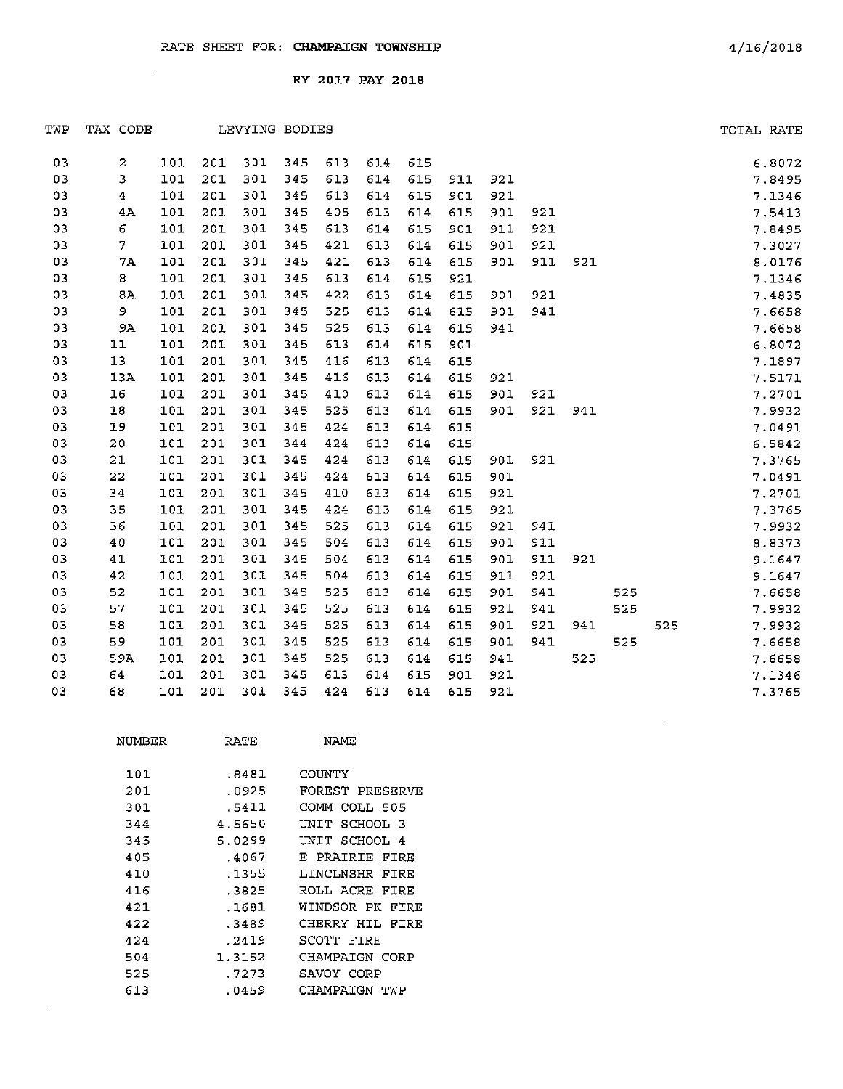| TWP | TAX CODE |     |     |     | LEVYING BODIES |     |     |     |     |     |     |     |     |     | TOTAL RATE |
|-----|----------|-----|-----|-----|----------------|-----|-----|-----|-----|-----|-----|-----|-----|-----|------------|
| 03  | 2        | 101 | 201 | 301 | 345            | 613 | 614 | 615 |     |     |     |     |     |     | 6.8072     |
| 03  | 3        | 101 | 201 | 301 | 345            | 613 | 614 | 615 | 911 | 921 |     |     |     |     | 7.8495     |
| 03  | 4        | 101 | 201 | 301 | 345            | 613 | 614 | 615 | 901 | 921 |     |     |     |     | 7.1346     |
| 03  | 4A       | 101 | 201 | 301 | 345            | 405 | 613 | 614 | 615 | 901 | 921 |     |     |     | 7.5413     |
| 03  | 6        | 101 | 201 | 301 | 345            | 613 | 614 | 615 | 901 | 911 | 921 |     |     |     | 7.8495     |
| 03  | 7        | 101 | 201 | 301 | 345            | 421 | 613 | 614 | 615 | 901 | 921 |     |     |     | 7.3027     |
| 03  | 7A       | 101 | 201 | 301 | 345            | 421 | 613 | 614 | 615 | 901 | 911 | 921 |     |     | 8.0176     |
| 03  | 8        | 101 | 201 | 301 | 345            | 613 | 614 | 615 | 921 |     |     |     |     |     | 7.1346     |
| 03  | 8A       | 101 | 201 | 301 | 345            | 422 | 613 | 614 | 615 | 901 | 921 |     |     |     | 7.4835     |
| 03  | 9        | 101 | 201 | 301 | 345            | 525 | 613 | 614 | 615 | 901 | 941 |     |     |     | 7.6658     |
| 03  | 9A       | 101 | 201 | 301 | 345            | 525 | 613 | 614 | 615 | 941 |     |     |     |     | 7.6658     |
| 03  | 11       | 101 | 201 | 301 | 345            | 613 | 614 | 615 | 901 |     |     |     |     |     | 6.8072     |
| 03  | 13       | 101 | 201 | 301 | 345            | 416 | 613 | 614 | 615 |     |     |     |     |     | 7.1897     |
| 03  | 13A      | 101 | 201 | 301 | 345            | 416 | 613 | 614 | 615 | 921 |     |     |     |     | 7.5171     |
| 03  | 16       | 101 | 201 | 301 | 345            | 410 | 613 | 614 | 615 | 901 | 921 |     |     |     | 7.2701     |
| 03  | 18       | 101 | 201 | 301 | 345            | 525 | 613 | 614 | 615 | 901 | 921 | 941 |     |     | 7.9932     |
| 03  | 19       | 101 | 201 | 301 | 345            | 424 | 613 | 614 | 615 |     |     |     |     |     | 7.0491     |
| 03  | 20       | 101 | 201 | 301 | 344            | 424 | 613 | 614 | 615 |     |     |     |     |     | 6.5842     |
| 03  | 21       | 101 | 201 | 301 | 345            | 424 | 613 | 614 | 615 | 901 | 921 |     |     |     | 7.3765     |
| 03  | 22       | 101 | 201 | 301 | 345            | 424 | 613 | 614 | 615 | 901 |     |     |     |     | 7.0491     |
| 03  | 34       | 101 | 201 | 301 | 345            | 410 | 613 | 614 | 615 | 921 |     |     |     |     | 7.2701     |
| 03  | 35       | 101 | 201 | 301 | 345            | 424 | 613 | 614 | 615 | 921 |     |     |     |     | 7.3765     |
| 03  | 36       | 101 | 201 | 301 | 345            | 525 | 613 | 614 | 615 | 921 | 941 |     |     |     | 7.9932     |
| 03  | 40       | 101 | 201 | 301 | 345            | 504 | 613 | 614 | 615 | 901 | 911 |     |     |     | 8.8373     |
| 03  | 41       | 101 | 201 | 301 | 345            | 504 | 613 | 614 | 615 | 901 | 911 | 921 |     |     | 9.1647     |
| 03  | 42       | 101 | 201 | 301 | 345            | 504 | 613 | 614 | 615 | 911 | 921 |     |     |     | 9.1647     |
| 03  | 52       | 101 | 201 | 301 | 345            | 525 | 613 | 614 | 615 | 901 | 941 |     | 525 |     | 7.6658     |
| 03  | 57       | 101 | 201 | 301 | 345            | 525 | 613 | 614 | 615 | 921 | 941 |     | 525 |     | 7.9932     |
| 03  | 58       | 101 | 201 | 301 | 345            | 525 | 613 | 614 | 615 | 901 | 921 | 941 |     | 525 | 7.9932     |
| 03  | 59       | 101 | 201 | 301 | 345            | 525 | 613 | 614 | 615 | 901 | 941 |     | 525 |     | 7.6658     |
| 03  | 59A      | 101 | 201 | 301 | 345            | 525 | 613 | 614 | 615 | 941 |     | 525 |     |     | 7.6658     |
| 03  | 64       | 101 | 201 | 301 | 345            | 613 | 614 | 615 | 901 | 921 |     |     |     |     | 7.1346     |
| 03  | 68       | 101 | 201 | 301 | 345            | 424 | 613 | 614 | 615 | 921 |     |     |     |     | 7.3765     |

| NUMBER | RATE   | NAME            |
|--------|--------|-----------------|
| 101    | .8481  | COUNTY          |
| 201    | .0925  | FOREST PRESERVE |
| 301    | .5411  | COMM COLL 505   |
| 344    | 4.5650 | UNIT SCHOOL 3   |
| 345    | 5.0299 | UNIT SCHOOL 4   |
| 405    | .4067  | E PRAIRIE FIRE  |
| 410    | .1355  | LINCLNSHR FIRE  |
| 416    | .3825  | ROLL ACRE FIRE  |
| 421    | .1681  | WINDSOR PK FIRE |
| 422    | .3489  | CHERRY HIL FIRE |
| 424    | .2419  | SCOTT FIRE      |
| 504    | 1.3152 | CHAMPAIGN CORP  |
| 525    | .7273  | SAVOY CORP      |
| 613    | .0459  | CHAMPAIGN TWP   |

 $\sim 10^6$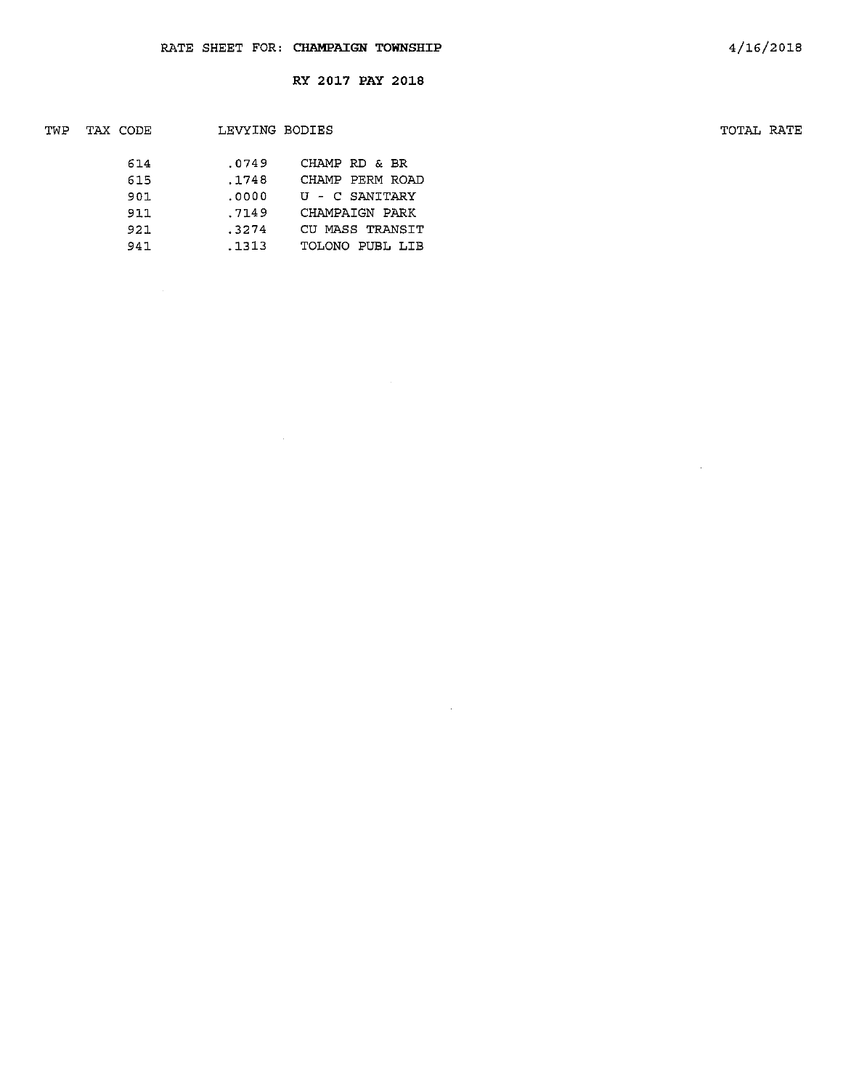$\sim$ 

| TWP | TAX CODE | LEVYING BODIES |                 | TOTAL RATE |
|-----|----------|----------------|-----------------|------------|
|     | 614      | .0749          | CHAMP RD & BR   |            |
|     | 615      | .1748          | CHAMP PERM ROAD |            |
|     | 901      | .0000          | U - C SANITARY  |            |
|     | 911      | .7149          | CHAMPAIGN PARK  |            |
|     | 921      | .3274          | CU MASS TRANSIT |            |
|     | 941      | .1313          | TOLONO PUBL LIB |            |
|     |          |                |                 |            |

 $\sim$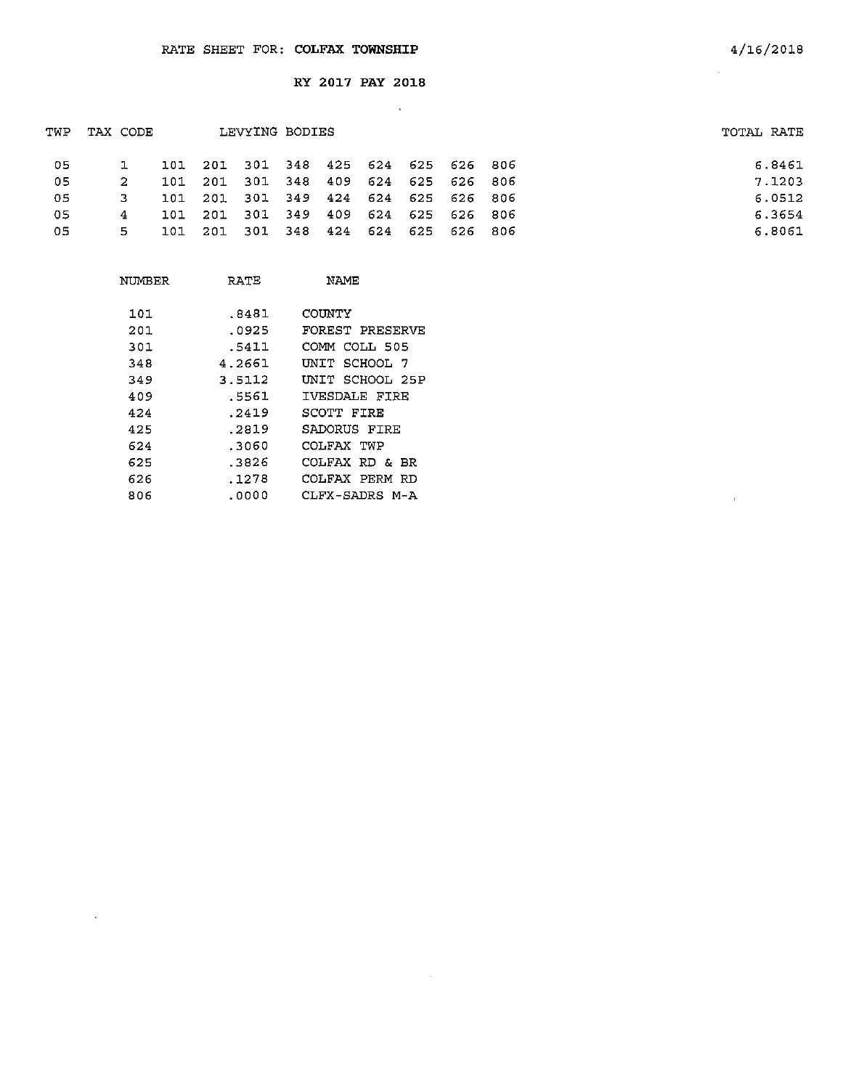| TWP | TAX CODE |       |         | LEVYING BODIES                  |     |             |     |                     | TOTAL RATE |
|-----|----------|-------|---------|---------------------------------|-----|-------------|-----|---------------------|------------|
| -05 |          | 101   |         | 201 301 348 425 624 625 626 806 |     |             |     |                     | 6.8461     |
| 05  | 2        | 101   | 201 301 |                                 | 348 |             |     | 409 624 625 626 806 | 7.1203     |
| -05 | З.       | 101   |         | 201 301 349 424 624 625 626 806 |     |             |     |                     | 6.0512     |
| 05  | 4        | 101   | 201     | 301                             |     | 349 409 624 |     | 625 626 806         | 6.3654     |
| 05  | 5.       | .10.1 | -201    | 301                             | 348 | 424         | 624 | 625 626 806         | 6.8061     |
|     |          |       |         |                                 |     |             |     |                     |            |

 $\sim 10^7$ 

 $\sim 10^7$ 

| NUMBER | RATE   | <b>NAME</b>     |
|--------|--------|-----------------|
|        |        |                 |
| 101    | .8481  | COUNTY          |
| 201    | .0925  | FOREST PRESERVE |
| 301    | .5411  | COMM COLL 505   |
| 348    | 4.2661 | UNIT SCHOOL 7   |
| 349    | 3.5112 | INIT SCHOOL 25P |
| 409    | .5561  | IVESDALE FIRE   |
| 424    | .2419  | SCOTT FIRE      |
| 425    | .2819  | SADORUS FIRE    |
| 624    | .3060  | COLFAX TWP      |
| 625    | .3826  | COLFAX RD & BR  |
| 626    | .1278  | COLFAX PERM RD  |
| 806    | .0000  | CLFX-SADRS M-A  |
|        |        |                 |

 $\sim 10$ 

 $\mathcal{L}_{\text{eff}}$ 

 $\bar{1}$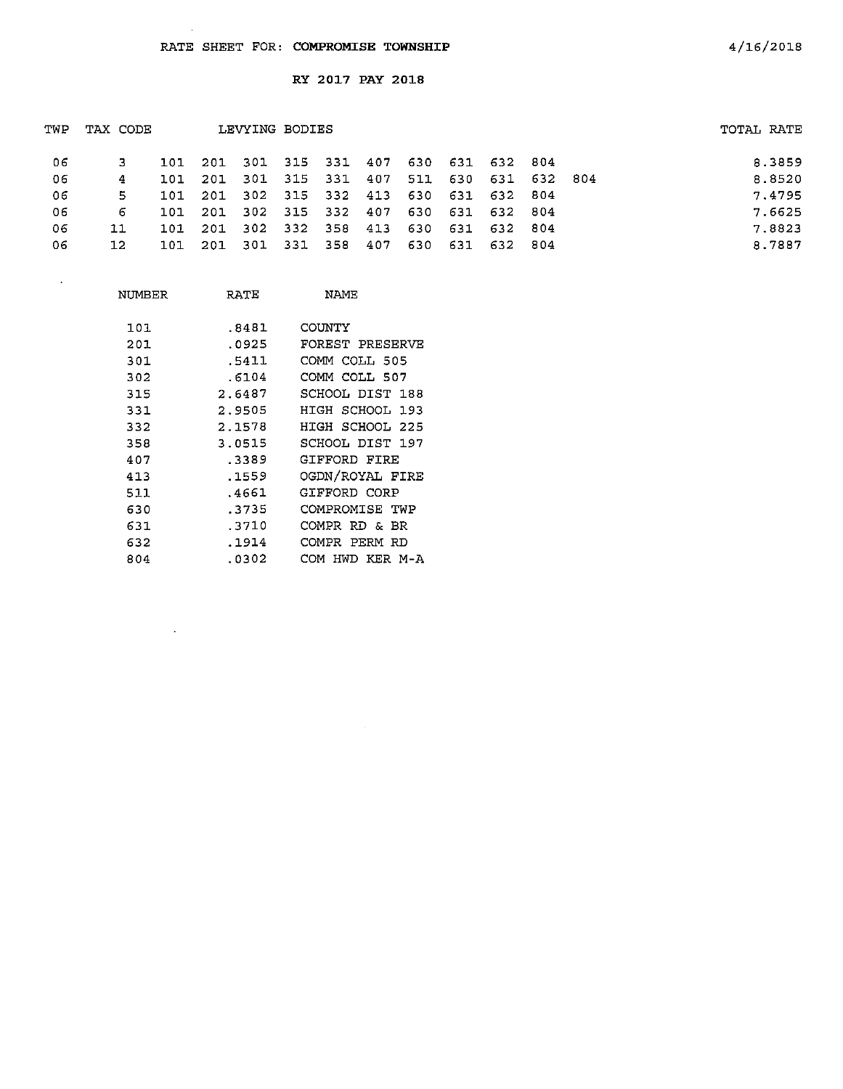| TWP | TAX CODE        |      |         | LEVYING BODIES                  |  |     |                     |  | TOTAL RATE |
|-----|-----------------|------|---------|---------------------------------|--|-----|---------------------|--|------------|
| -06 |                 |      | 101 201 | 301 315 331 407 630 631 632 804 |  |     |                     |  | 8.3859     |
| -06 | 4               |      |         | 101 201 301 315 331 407         |  |     | 511 630 631 632 804 |  | 8.8520     |
| 06  | 5.              | 101. | 201     | 302 315 332 413 630 631 632 804 |  |     |                     |  | 7.4795     |
| -06 | 6               | 101  | -201    | 302 315 332 407 630 631 632 804 |  |     |                     |  | 7.6625     |
| 06  | 11              | 101  | 201     | 302 332 358 413                 |  |     | 630 631 632 804     |  | 7.8823     |
| 06  | 12 <sub>1</sub> | 101  | 201     | 301 331 358                     |  | 407 | 630 631 632 804     |  | 8.7887     |
|     |                 |      |         |                                 |  |     |                     |  |            |

| NUMBER | RATE   | NAME                  |
|--------|--------|-----------------------|
| 101    | .8481  | COUNTY                |
| 201    | .0925  | FOREST PRESERVE       |
| 301    | .5411  | COMM COLL 505         |
| 302    | .6104  | COMM COLL 507         |
| 315    | 2.6487 | SCHOOL DIST 188       |
| 331    | 2.9505 | HIGH SCHOOL 193       |
| 332    | 2.1578 | HIGH SCHOOL 225       |
| 358    | 3.0515 | SCHOOL DIST 197       |
| 407    | .3389  | GIFFORD FIRE          |
| 413    | .1559  | OGDN/ROYAL FIRE       |
| 511    | .4661  | GIFFORD CORP          |
| 630    | .3735  | COMPROMISE TWP        |
| 631    | .3710  | COMPR RD & BR         |
| 632    | .1914  | COMPR<br>PERM RD      |
| 804    | .0302  | KER M-A<br>HWD<br>COM |

 $\sim 10^{-11}$ 

 $\hat{\boldsymbol{\beta}}$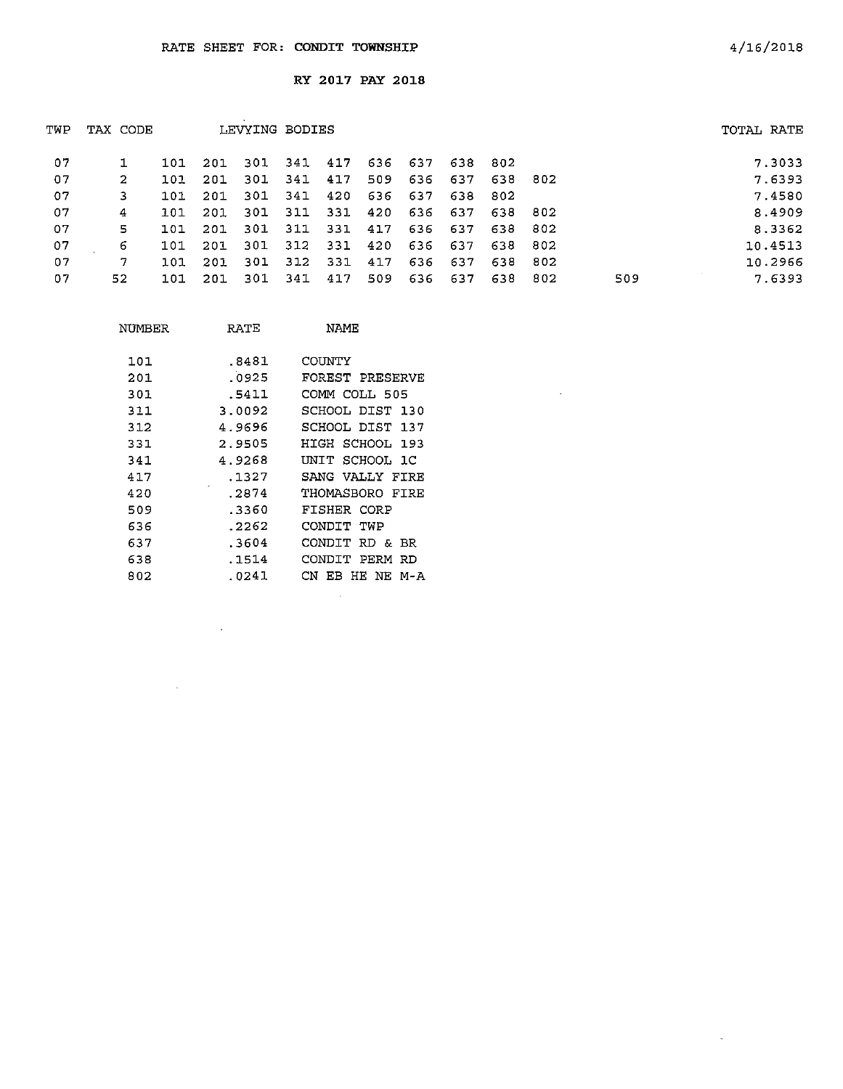| TWP | TAX CODE |     |      | LEVYING BODIES |         |         |         |     |         |         |         |     | TOTAL RATE |
|-----|----------|-----|------|----------------|---------|---------|---------|-----|---------|---------|---------|-----|------------|
| 07  |          | 101 | 201  | 301 341 417    |         |         | 636 637 |     | 638 802 |         |         |     | 7.3033     |
| 07  | 2        | 101 | -201 | -301           | 341 417 |         | 509     | 636 | 637     | 638 802 |         |     | 7.6393     |
| 07  | 3.       | 101 | 201  | 301            | 341     | 420     | 636     | 637 | 638 802 |         |         |     | 7.4580     |
| 07  | 4        | 101 | 201  | -301           |         | 311 331 | 420     |     | 636 637 | 638 802 |         |     | 8.4909     |
| 07  | 5        | 101 | -201 | 301            |         | 311 331 | 417     | 636 | 637     | 638 802 |         |     | 8.3362     |
| 07  | 6        | 101 | 201  | 301            |         | 312 331 | 420     |     | 636 637 | 638 802 |         |     | 10.4513    |
| 07  | 7        | 101 | -201 | 301            | 312     | 331     | 417     | 636 | 637     |         | 638 802 |     | 10.2966    |
| 07  | 52       | 101 | -201 | 301            | 341     | 417     | 509     |     | 636 637 | 638     | 802     | 509 | 7.6393     |
|     |          |     |      |                |         |         |         |     |         |         |         |     |            |

 $\sim 10$ 

| NÜMBER | RATE   | NAME               |
|--------|--------|--------------------|
| 101    | .8481  | COUNTY             |
| 201    | .0925  | FOREST PRESERVE    |
| 301    | .5411  | COMM COLL 505      |
| 311    | 3.0092 | SCHOOL DIST 130    |
| 312    | 4.9696 | SCHOOL DIST 137    |
| 331    | 2.9505 | HIGH SCHOOL 193    |
| 341    | 4.9268 | UNIT SCHOOL 1C     |
| 417    | .1327  | SANG VALLY FIRE    |
| 420    | .2874  | THOMASBORO FIRE    |
| 509    | .3360  | FISHER CORP        |
| 636    | .2262  | CONDIT TWP         |
| 637    | .3604  | CONDIT RD & BR     |
| 638    | .1514  | CONDIT PERM RD     |
| 802    | .0241  | CN EB HE NE<br>M-A |
|        |        |                    |

 $\sim 10^{11}$ 

 $\bar{z}$ 

 $\sim$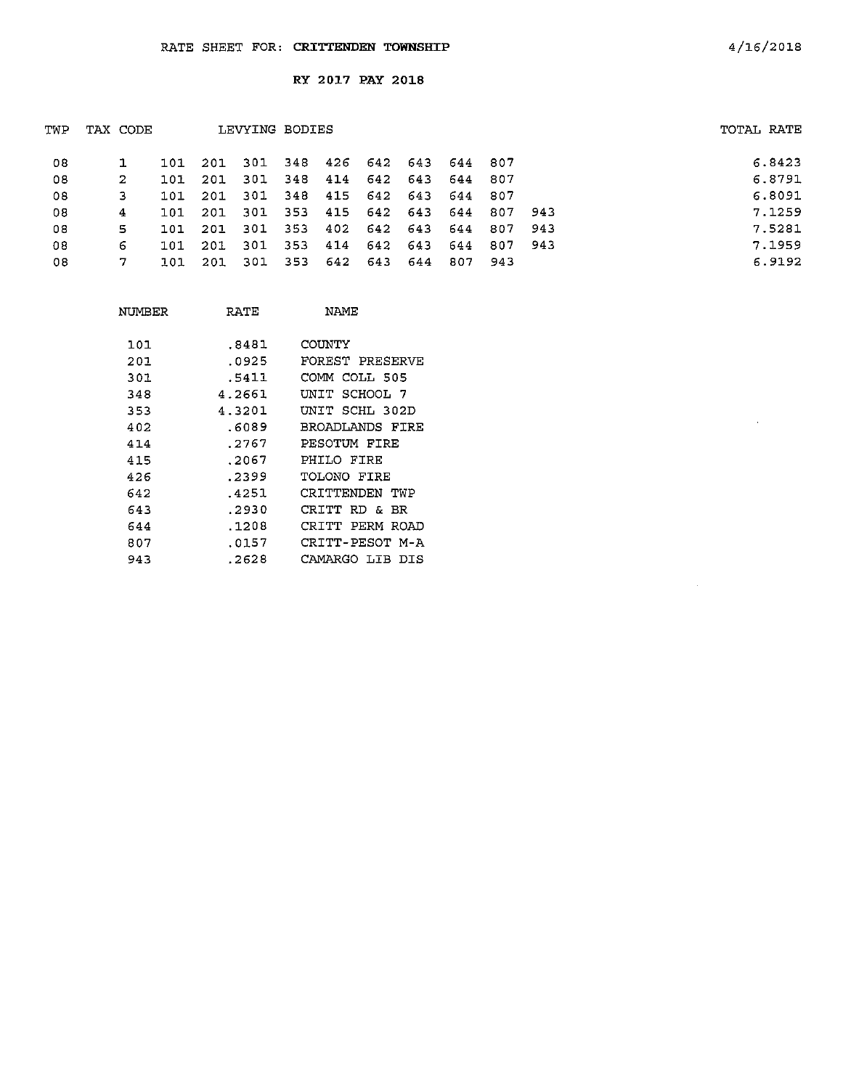| TWP | TAX CODE |     |      | LEVYING BODIES |         |     |             |         |     |         |       | TOTAL RATE |
|-----|----------|-----|------|----------------|---------|-----|-------------|---------|-----|---------|-------|------------|
| 08  |          | 101 | -201 | -301           | 348     | 426 | 642         | 643     |     | 644 807 |       | 6.8423     |
| 08  | 2        | 101 | 201  | -301           | 348 414 |     |             | 642 643 | 644 | 807     |       | 6.8791     |
| 03  | 3        | 101 | 201  | -301           | 348     |     | 415 642 643 |         |     | 644 807 |       | 6.8091     |
| 08  | 4        | 101 | -201 | -301           | 353     |     | 415 642 643 |         | 644 | 807     | - 943 | 7.1259     |
| 08  | 5        | 101 | 201  | 301            | - 353   |     | 402 642 643 |         | 644 | 807     | -943  | 7.5281     |
| 08  | 6        | 101 | 201  | 301            | - 353   | 414 | 642         | 643     | 644 | 807     | - 943 | 7.1959     |
| 08  |          | 101 | 201  | 301            | - 353   | 642 | 643         | -644    | 807 | -943    |       | 6.9192     |
|     |          |     |      |                |         |     |             |         |     |         |       |            |

| NUMBER | RATE   | NAME                  |
|--------|--------|-----------------------|
| 101    | .8481  | COUNTY                |
| 201    | .0925  | FOREST PRESERVE       |
| 301    | .5411  | COMM COLL 505         |
| 348    | 4.2661 | UNIT SCHOOL 7         |
| 353    | 4.3201 | UNIT SCHL 302D        |
| 402    | .6089  | BROADLANDS FIRE       |
| 414    | . 2767 | PESOTUM FIRE          |
| 415    | .2067  | PHILO FIRE            |
| 426    | .2399  | TOLONO FIRE           |
| 642    | .4251  | CRITTENDEN TWP        |
| 643    | .2930  | CRITT<br>RD &<br>- BR |
| 644    | .1208  | CRITT PERM ROAD       |
| 807    | .0157  | CRITT-PESOT M-A       |
| 943    | . 2628 | CAMARGO LIB<br>DIS    |

 $\hat{\mathcal{A}}$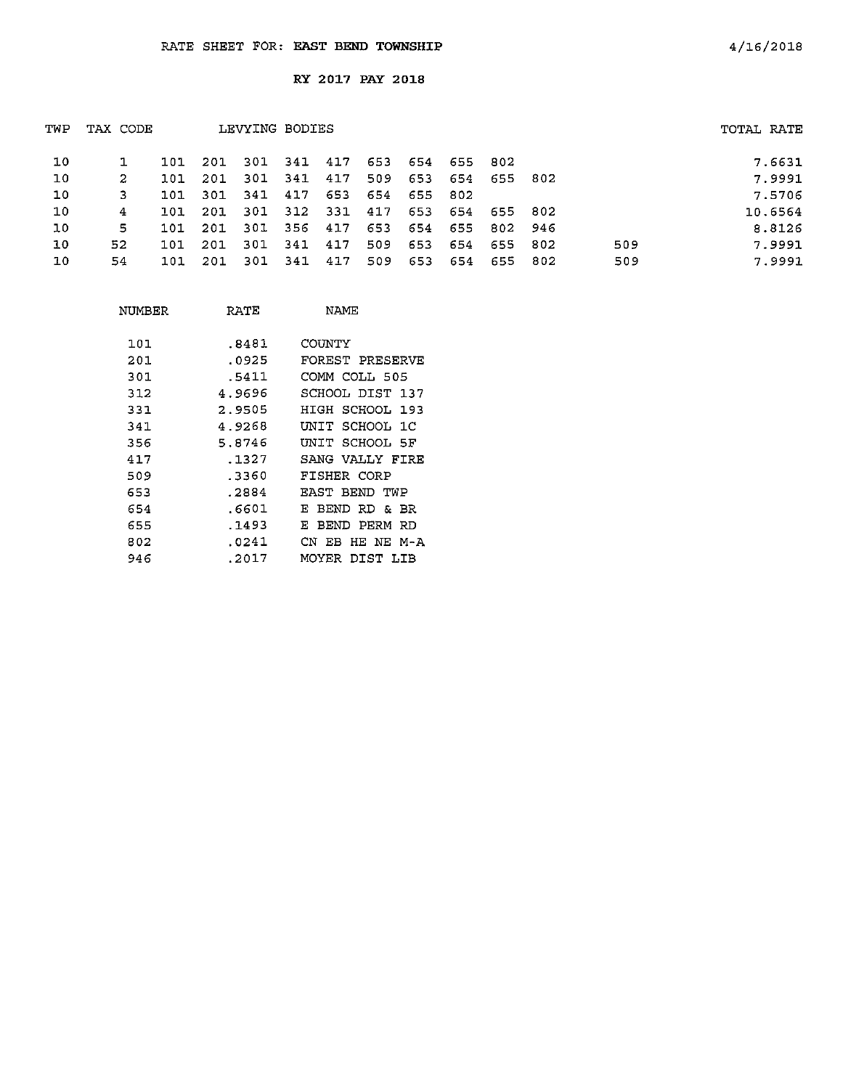| 10<br>-301<br>417<br>653<br>654<br>201<br>- 341 -<br>655 802<br>101<br>10<br>417<br>653<br>-301<br>341<br>509<br>654<br>655 802<br>2<br>201<br>101 | TOTAL RATE |  |  |
|----------------------------------------------------------------------------------------------------------------------------------------------------|------------|--|--|
|                                                                                                                                                    | 7.6631     |  |  |
|                                                                                                                                                    | 7.9991     |  |  |
| 10<br>653<br>341<br>417<br>654<br>3<br>301<br>655<br>802<br>101.                                                                                   | 7.5706     |  |  |
| 10<br>312<br>331<br>301<br>417<br>653<br>654<br>4<br>201<br>655 802<br>101                                                                         | 10.6564    |  |  |
| 10<br>5.<br>301<br>356<br>653<br>654<br>417<br>655<br>802 946<br>201<br>101                                                                        | 8.8126     |  |  |
| 10<br>52.<br>417<br>509<br>301<br>-341<br>509<br>653<br>654<br>201<br>655 802<br>101                                                               | 7.9991     |  |  |
| 10<br>509<br>417<br>-301<br>341<br>653<br>509<br>54<br>654<br>655<br>- 802<br>201<br>101                                                           | 7.9991     |  |  |

| NUMBER | RATE   | NAME                  |
|--------|--------|-----------------------|
| 101    | .8481  | COINTY                |
| 201    | .0925  | FOREST PRESERVE       |
| 301    | .5411  | COMM COLL 505         |
| 312    | 4.9696 | SCHOOL DIST 137       |
| 331    | 2.9505 | HIGH SCHOOL 193       |
| 341    | 4.9268 | UNIT SCHOOL 1C        |
| 356    | 5.8746 | UNIT SCHOOL 5F        |
| 417    | .1327  | SANG VALLY FIRE       |
| 509    | .3360  | FISHER CORP           |
| 653    | .2884  | RAST BEND TWP         |
| 654    | .6601  | RD & BR<br>BEND.<br>F |
| 655    | .1493  | PERM RD<br>BEND<br>F. |
| 802    | .0241  | CN EB HE NE M-A       |
| 946    | .2017  | MOYER<br>DIST LIB     |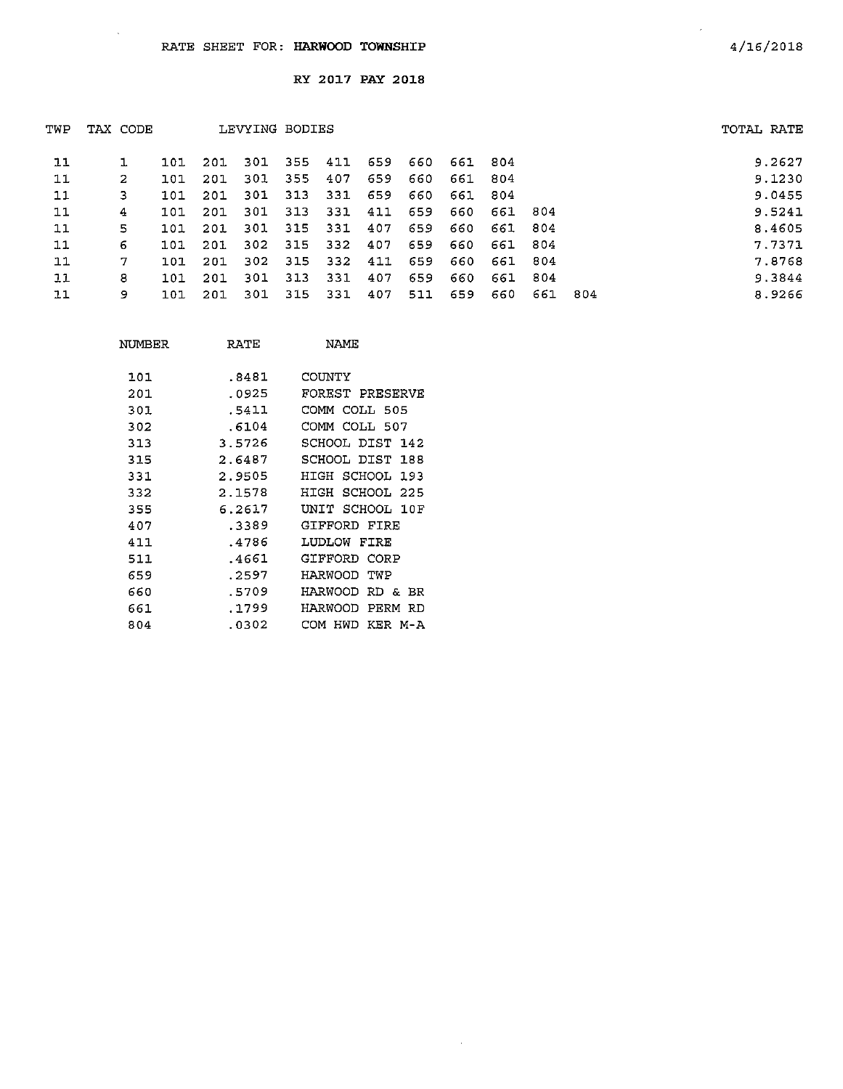$\ddot{\phantom{0}}$ 

RY 2017 PAY 2018

| TWP | TAX CODE |     |     | LEVYING BODIES |      |      |     |     |     |     |      |     | TOTAL RATE |
|-----|----------|-----|-----|----------------|------|------|-----|-----|-----|-----|------|-----|------------|
| 11  |          | 101 | 201 | -301           | 355  | 411  | 659 | 660 | 661 | 804 |      |     | 9.2627     |
| 11  | 2        | 101 | 201 | 301            | 355  | 407  | 659 | 660 | 661 | 804 |      |     | 9.1230     |
| 11  | з        | 101 | 201 | 301            | -313 | 331  | 659 | 660 | 661 | 804 |      |     | 9.0455     |
| 11  | 4        | 101 | 201 | 301            | 313  | 331  | 411 | 659 | 660 | 661 | -804 |     | 9.5241     |
| 11  | 5        | 101 | 201 | 301            | 315  | 331  | 407 | 659 | 660 | 661 | -804 |     | 8.4605     |
| 11  | 6        | 101 | 201 | 302            | 315  | 332  | 407 | 659 | 660 | 661 | -804 |     | 7.7371     |
| 11  | 7        | 101 | 201 | 302            | 315  | -332 | 411 | 659 | 660 | 661 | -804 |     | 7.8768     |
| 11  | 8        | 101 | 201 | 301            | 313  | 331  | 407 | 659 | 660 | 661 | -804 |     | 9.3844     |
| 11  | 9        | 101 | 201 | 301            | 315  | 331  | 407 | 511 | 659 | 660 | 661  | 804 | 8.9266     |

 $\sim 10^7$ 

| NUMBER | RATE   | NAME                         |
|--------|--------|------------------------------|
| 101    | .8481  | COUNTY                       |
| 201    | .0925  | FOREST PRESERVE              |
| 301    | .5411  | COMM COLL 505                |
| 302    | .6104  | COMM COLL 507                |
| 313    | 3.5726 | SCHOOL DIST 142              |
| 315    | 2.6487 | SCHOOL DIST 188              |
| 331    | 2.9505 | HIGH SCHOOL 193              |
| 332    | 2.1578 | SCHOOL 225<br>HICH           |
| 355    | 6.2617 | UNIT SCHOOL 10F              |
| 407    | .3389  | GIFFORD FIRE                 |
| 411    | .4786  | LUDLOW<br>FIRE               |
| 511    | .4661  | GIFFORD CORP                 |
| 659    | . 2597 | HARWOOD<br>TWP               |
| 660    | .5709  | HARWOOD<br>RD &<br><b>BR</b> |
| 661    | .1799  | HARWOOD<br>PERM<br>RD        |
| 804    | .0302  | HWD<br>KER M-A<br>COM        |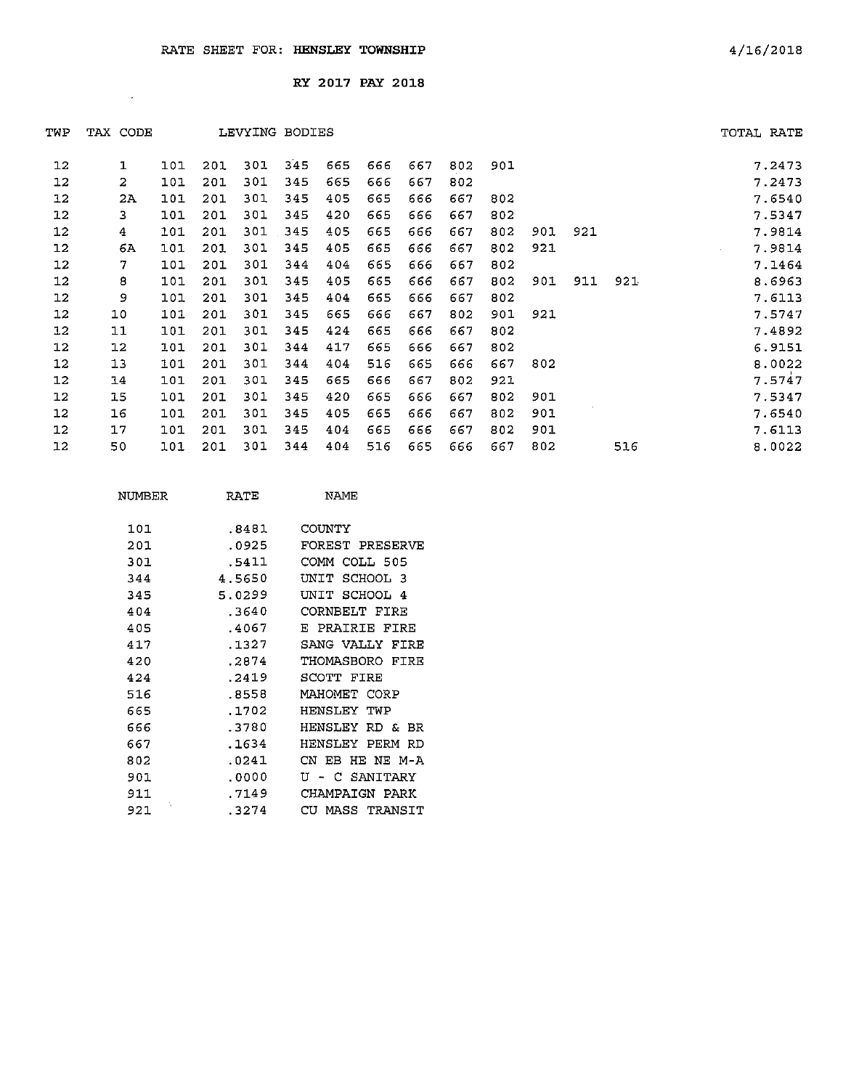$\mathcal{A}^{\text{max}}$ 

RY 2017 PAY 2018

| TWP     | TAX CODE     |     |     | LEVYING BODIES |     |     |     |     |     |     |     |     |     | TOTAL RATE       |
|---------|--------------|-----|-----|----------------|-----|-----|-----|-----|-----|-----|-----|-----|-----|------------------|
| 12      | $\mathbf{1}$ | 101 | 201 | 301            | 345 | 665 | 666 | 667 | 802 | 901 |     |     |     | 7.2473           |
| 12      | 2            | 101 | 201 | 301            | 345 | 665 | 666 | 667 | 802 |     |     |     |     | 7.2473           |
| $12 \,$ | 2A           | 101 | 201 | 301            | 345 | 405 | 665 | 666 | 667 | 802 |     |     |     | 7.6540           |
| 12      | 3            | 101 | 201 | 301            | 345 | 420 | 665 | 666 | 667 | 802 |     |     |     | 7.5347           |
| 12      | 4            | 101 | 201 | 301            | 345 | 405 | 665 | 666 | 667 | 802 | 901 | 921 |     | 7.9814           |
| $12 \,$ | 6A           | 101 | 201 | 301            | 345 | 405 | 665 | 666 | 667 | 802 | 921 |     |     | 7.9814<br>$\sim$ |
| 12      | 7            | 101 | 201 | 301            | 344 | 404 | 665 | 666 | 667 | 802 |     |     |     | 7.1464           |
| 12      | 8            | 101 | 201 | 301            | 345 | 405 | 665 | 666 | 667 | 802 | 901 | 911 | 921 | 8.6963           |
| 12      | 9            | 101 | 201 | 301            | 345 | 404 | 665 | 666 | 667 | 802 |     |     |     | 7.6113           |
| 12      | 10           | 101 | 201 | 301            | 345 | 665 | 666 | 667 | 802 | 901 | 921 |     |     | 7.5747           |
| $12 \,$ | 11           | 101 | 201 | 301            | 345 | 424 | 665 | 666 | 667 | 802 |     |     |     | 7.4892           |
| $12 \,$ | 12           | 101 | 201 | 301            | 344 | 417 | 665 | 666 | 667 | 802 |     |     |     | 6.9151           |
| $12 \,$ | 13           | 101 | 201 | 301            | 344 | 404 | 516 | 665 | 666 | 667 | 802 |     |     | 8.0022           |
| 12      | 14           | 101 | 201 | 301            | 345 | 665 | 666 | 667 | 802 | 921 |     |     |     | 7.5747           |
| $12 \,$ | 15           | 101 | 201 | 301            | 345 | 420 | 665 | 666 | 667 | 802 | 901 |     |     | 7.5347           |
| 12      | 16           | 101 | 201 | 301            | 345 | 405 | 665 | 666 | 667 | 802 | 901 |     |     | 7.6540           |
| 12      | 17           | 101 | 201 | 301            | 345 | 404 | 665 | 666 | 667 | 802 | 901 |     |     | 7.6113           |
| 12      | 50           | 101 | 201 | 301            | 344 | 404 | 516 | 665 | 666 | 667 | 802 |     | 516 | 8.0022           |
|         |              |     |     |                |     |     |     |     |     |     |     |     |     |                  |

| NUMBER   | RATE   | NAME                   |
|----------|--------|------------------------|
|          |        |                        |
| 101      | .8481  | COUNTY                 |
| 201      | .0925  | <b>FOREST PRESERVE</b> |
| 301      | .5411  | COMM COLL 505          |
| 344      | 4.5650 | ידותז<br>SCHOOL 3      |
| 345      | 5.0299 | UNIT SCHOOL 4          |
| 404      | .3640  | CORNBELT FIRE          |
| 405      | .4067  | R PRATRTE FIRE         |
| 417      | .1327  | SANG VALLY FIRE        |
| 420      | .2874  | THOMASBORO<br>FIRE     |
| 424      | .2419  | SCOTT FIRE             |
| 516      | .8558  | MAHOMET CORP           |
| 665      | .1702  | HENSLEY TWP            |
| 666      | .3780  | HENSLEY<br>RD &<br>RF. |
| 667      | .1634  | HENSLEY<br>PERM<br>RD  |
| 802      | .0241  | CN EB HE NE M-A        |
| 901      | .0000  | - C SANITARY<br>Tĭ     |
| 911      | . 7149 | CHAMPAIGN PARK         |
| ţ<br>921 | .3274  | CU.<br>MASS TRANSIT    |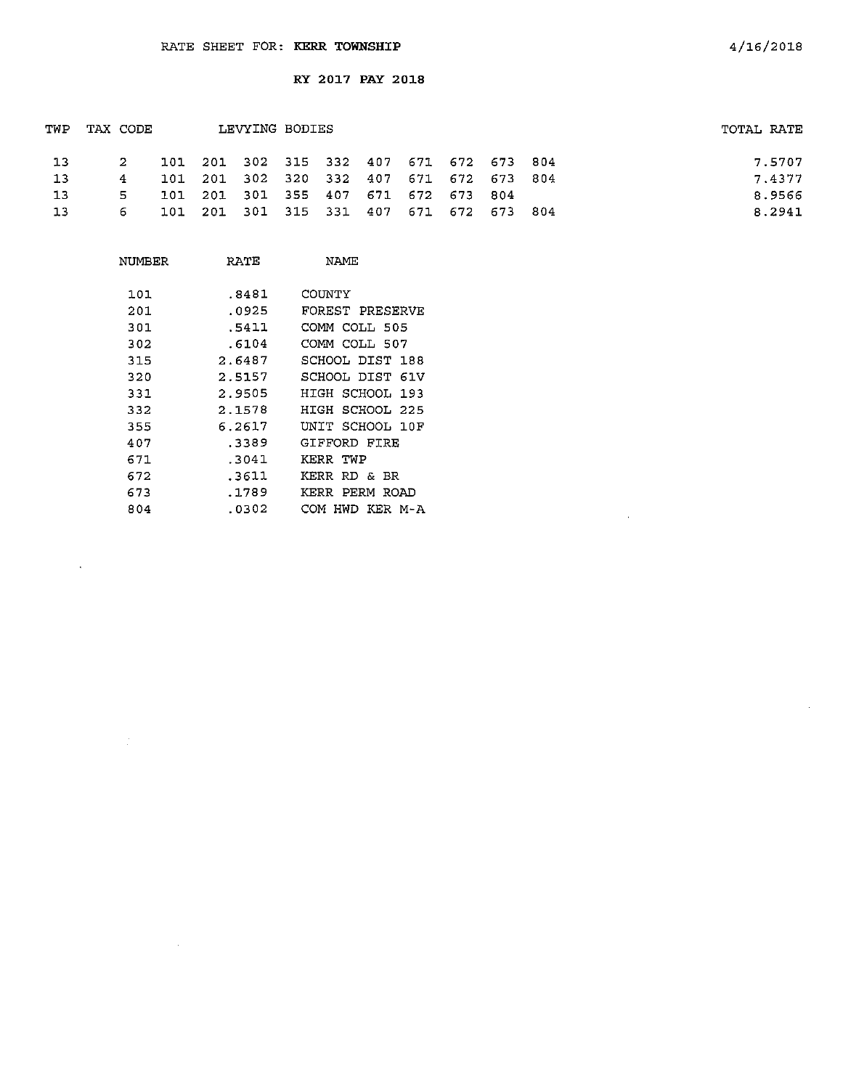| TWP | LEVYING BODIES<br>TAX CODE |  |  |                                         | TOTAL RATE |  |  |  |        |
|-----|----------------------------|--|--|-----------------------------------------|------------|--|--|--|--------|
| 13  | $\sim$ 2                   |  |  | 101 201 302 315 332 407 671 672 673 804 |            |  |  |  | 7.5707 |
| 13  | 4                          |  |  | 101 201 302 320 332 407 671 672 673 804 |            |  |  |  | 7.4377 |
| 13  | 5.                         |  |  | 101 201 301 355 407 671 672 673 804     |            |  |  |  | 8.9566 |
| 13  | 6.                         |  |  | 101 201 301 315 331 407 671 672 673 804 |            |  |  |  | 8.2941 |

| NUMBER | RATE   | NAME                  |
|--------|--------|-----------------------|
| 101    | .8481  | COIMTY                |
| 201    | .0925  | FOREST PRESERVE       |
| 301    | .5411  | COMM COLL 505         |
| 302    | .6104  | COMM COLL 507         |
| 315    | 2.6487 | SCHOOL DIST 188       |
| 320    | 2.5157 | SCHOOL DIST<br>61V    |
| 331    | 2.9505 | HIGH SCHOOL 193       |
| 332    | 2.1578 | HIGH SCHOOL 225       |
| 355    | 6.2617 | UNIT SCHOOL 10F       |
| 407    | .3389  | GIFFORD FIRE          |
| 671    | .3041  | KERR TWP              |
| 672    | .3611  | KERR<br>RD & BR       |
| 673    | .1789  | KERR<br>PERM ROAD     |
| 804    | .0302  | COM<br>KER M-A<br>HWD |

 $\bar{\beta}$ 

 $\sim 10^7$ 

 $\mathcal{A}$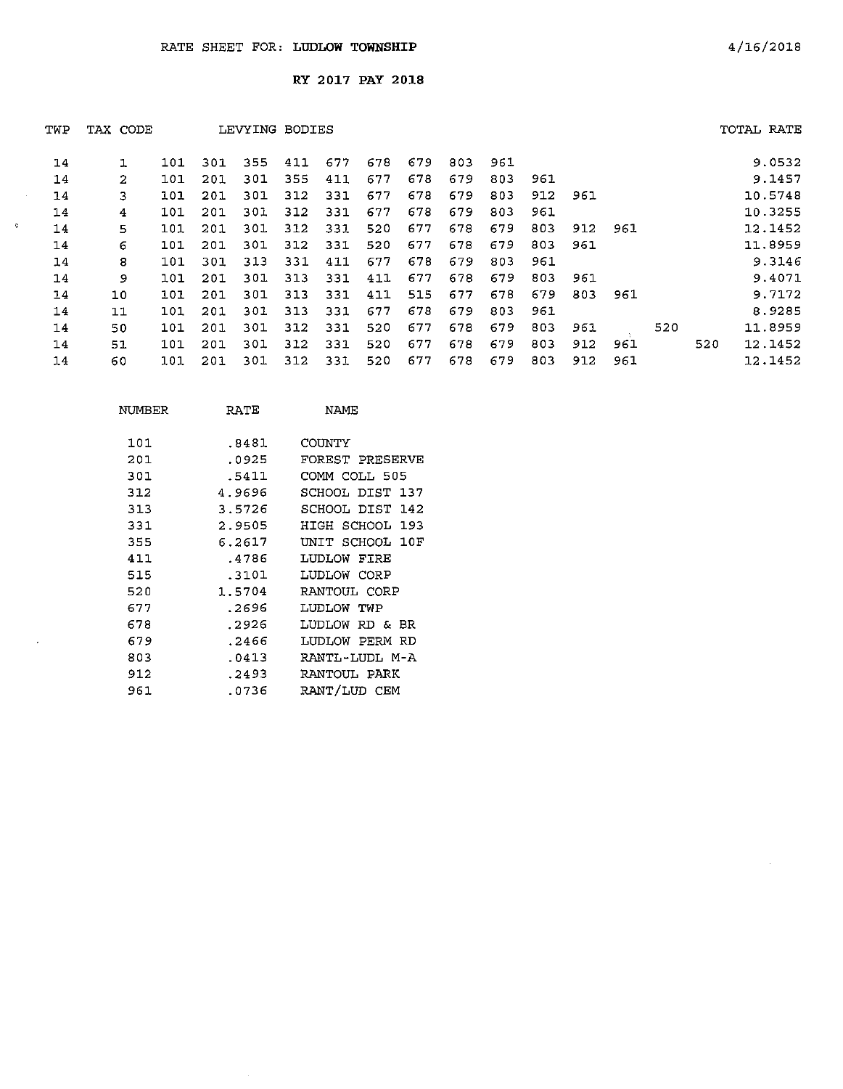$\sim$ 

 $\overline{a}$ 

 $\tilde{\mathbf{c}}$ 

**RY** 2017 **PAY** 2018

| TWP | TAX CODE |     |     |     | LEVYING BODIES |     |     |     |     |     |     |     |     |     |     | TOTAL RATE |
|-----|----------|-----|-----|-----|----------------|-----|-----|-----|-----|-----|-----|-----|-----|-----|-----|------------|
| 14  |          | 101 | 301 | 355 | 411            | 677 | 678 | 679 | 803 | 961 |     |     |     |     |     | 9.0532     |
| 14  | 2        | 101 | 201 | 301 | 355            | 411 | 677 | 678 | 679 | 803 | 961 |     |     |     |     | 9.1457     |
| 14  | 3        | 101 | 201 | 301 | 312            | 331 | 677 | 678 | 679 | 803 | 912 | 961 |     |     |     | 10.5748    |
| 14  | 4        | 101 | 201 | 301 | 312            | 331 | 677 | 678 | 679 | 803 | 961 |     |     |     |     | 10.3255    |
| 14  | 5.       | 101 | 201 | 301 | 312            | 331 | 520 | 677 | 678 | 679 | 803 | 912 | 961 |     |     | 12.1452    |
| 14  | 6        | 101 | 201 | 301 | 312            | 331 | 520 | 677 | 678 | 679 | 803 | 961 |     |     |     | 11.8959    |
| 14  | 8        | 101 | 301 | 313 | 331            | 411 | 677 | 678 | 679 | 803 | 961 |     |     |     |     | 9.3146     |
| 14  | 9        | 101 | 201 | 301 | 313            | 331 | 411 | 677 | 678 | 679 | 803 | 961 |     |     |     | 9.4071     |
| 14  | 10       | 101 | 201 | 301 | 313            | 331 | 411 | 515 | 677 | 678 | 679 | 803 | 961 |     |     | 9.7172     |
| 14  | 11       | 101 | 201 | 301 | 313            | 331 | 677 | 678 | 679 | 803 | 961 |     |     |     |     | 8.9285     |
| 14  | 50       | 101 | 201 | 301 | 312            | 331 | 520 | 677 | 678 | 679 | 803 | 961 |     | 520 |     | 11.8959    |
| 14  | 51       | 101 | 201 | 301 | 312            | 331 | 520 | 677 | 678 | 679 | 803 | 912 | 961 |     | 520 | 12.1452    |
| 14  | 60       | 101 | 201 | 301 | 312            | 331 | 520 | 677 | 678 | 679 | 803 | 912 | 961 |     |     | 12.1452    |

| NUMBER | RATE   | NAME            |
|--------|--------|-----------------|
| 101    | .8481  | COUNTY          |
| 201    | .0925  | FOREST PRESERVE |
| 301    | .5411  | COMM COLL 505   |
| 312    | 4.9696 | SCHOOL DIST 137 |
| 313    | 3.5726 | SCHOOL DIST 142 |
| 331    | 2.9505 | HIGH SCHOOL 193 |
| 355    | 6.2617 | UNIT SCHOOL 10F |
| 411    | .4786  | LUDLOW FIRE     |
| 515    | .3101  | LUDLOW CORP     |
| 520    | 1.5704 | RANTOUL CORP    |
| 677    | .2696  | LUDLOW TWP      |
| 678    | .2926  | LUDLOW RD & BR  |
| 679    | .2466  | LUDLOW PERM RD  |
| 803    | .0413  | RANTL-LUDL M-A  |
| 912    | .2493  | RANTOUL PARK    |
| 961    | .0736  | RANT/LUD CEM    |
|        |        |                 |

 $\bar{z}$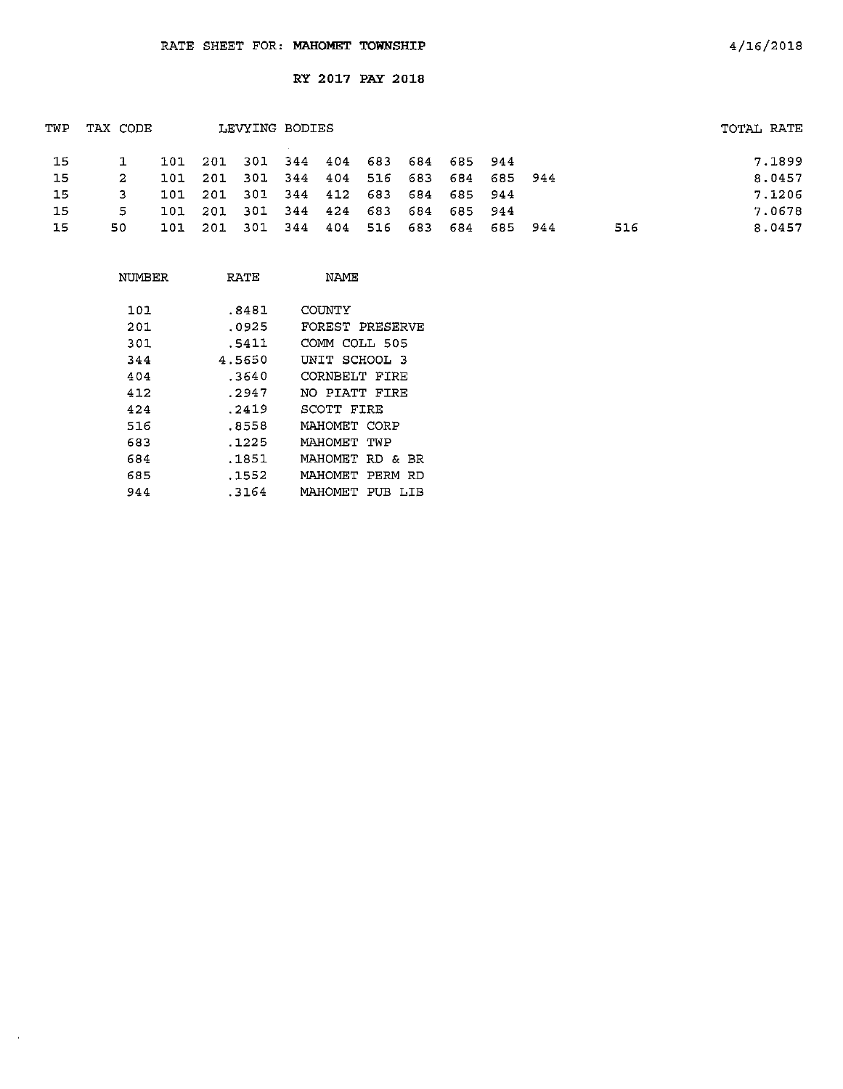| TWP | TAX CODE |      |         | LEVYING BODIES  |     |             |         |     |                             |         |       |     | TOTAL RATE |
|-----|----------|------|---------|-----------------|-----|-------------|---------|-----|-----------------------------|---------|-------|-----|------------|
| 15  |          |      | 101 201 |                 |     |             |         |     | 301 344 404 683 684 685 944 |         |       |     | 7.1899     |
| -15 | -2       | 101  | 201     | - 301           | 344 | 404 516 683 |         |     | 684                         | 685 944 |       |     | 8.0457     |
| 15  | З.       | 1.01 | 201     | 301             |     |             |         |     | 344 412 683 684 685 944     |         |       |     | 7.1206     |
| 15  | 5.       | 101  | -201    | 301 344 424 683 |     |             |         | 684 | 685 944                     |         |       |     | 7.0678     |
| 15  | 50.      | 101. | -201    | -301            | 344 | 404         | 516 683 |     | 684                         | 685     | - 944 | 516 | 8.0457     |

| NUMBER | RATE   | NAME                  |
|--------|--------|-----------------------|
| 101    | .8481  | COUNTY                |
| 201    | .0925  | FOREST PRESERVE       |
| 301    | .5411  | COMM COLL 505         |
| 344    | 4.5650 | UNIT SCHOOL 3         |
| 404    | .3640  | CORNBELT FIRE         |
| 412    | .2947  | NO PIATT FIRE         |
| 424    | .2419  | SCOTT FIRE            |
| 516    | . 8558 | MAHOMET CORP          |
| 683    | .1225  | МАНОМЕТ ТWP           |
| 684    | .1851  | MAHOMET RD & BR       |
| 685    | . 1552 | MAHOMET PERM RD       |
| 944    | .3164  | МАНОМЕТ<br>PUB<br>LIB |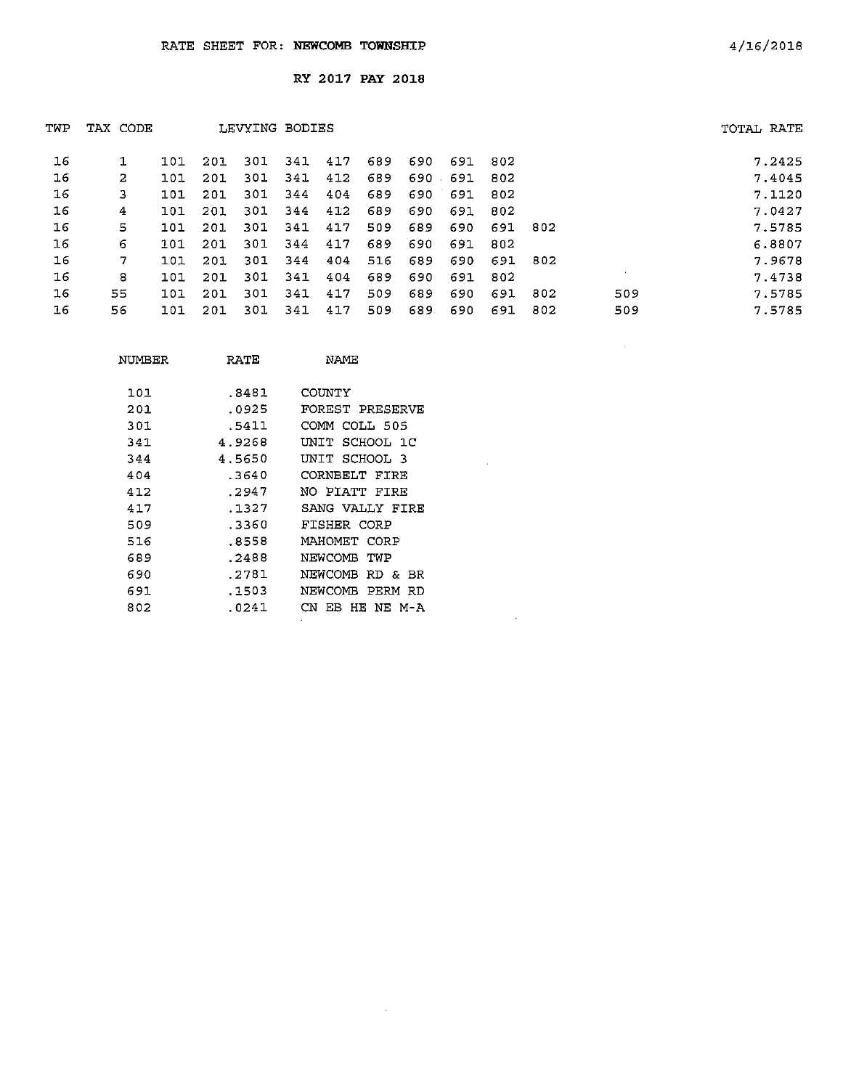| TWP | TAX CODE |     |     | LEVYING BODIES |     |     |     |      |         |     |     |         | TOTAL RATE |
|-----|----------|-----|-----|----------------|-----|-----|-----|------|---------|-----|-----|---------|------------|
| 16  |          | 101 | 201 | 301            | 341 | 417 | 689 | 690  | 691     | 802 |     |         | 7.2425     |
| 16  | 2        | 101 | 201 | 301            | 341 | 412 | 689 | 690. | 691     | 802 |     |         | 7.4045     |
| 16  | 3        | 101 | 201 | 301            | 344 | 404 | 689 |      | 690 691 | 802 |     |         | 7.1120     |
| 16  | 4        | 101 | 201 | 301            | 344 | 412 | 689 | 690  | 691     | 802 |     |         | 7.0427     |
| 16  | 5        | 101 | 201 | 301            | 341 | 417 | 509 | 689  | 690     | 691 | 802 |         | 7.5785     |
| 16  | 6        | 101 | 201 | 301            | 344 | 417 | 689 | 690  | 691     | 802 |     |         | 6.8807     |
| 16  | 7        | 101 | 201 | 301            | 344 | 404 | 516 | 689  | 690     | 691 | 802 |         | 7.9678     |
| 16  | 8        | 101 | 201 | 301            | 341 | 404 | 689 | 690  | 691     | 802 |     | $\cdot$ | 7.4738     |
| 16  | 55       | 101 | 201 | 301            | 341 | 417 | 509 | 689  | 690     | 691 | 802 | 509     | 7.5785     |
| 16  | 56       | 101 | 201 | 301            | 341 | 417 | 509 | 689  | 690     | 691 | 302 | 509     | 7.5785     |

 $\sim 10^{-1}$ 

 $\sim 10^{-11}$ 

 $\sim$   $\omega$ 

| NUMBER | RATE   | NAME            |
|--------|--------|-----------------|
| 101    | .8481  | COUNTY          |
| 201    | .0925  | FOREST PRESERVE |
| 301    | .5411  | COMM COLL 505   |
| 341    | 4.9268 | UNIT SCHOOL 1C  |
| 344    | 4.5650 | UNIT SCHOOL 3   |
| 404    | .3640  | CORNBELT FIRE   |
| 412    | .2947  | NO PIATT FIRE   |
| 417    | .1327  | SANG VALLY FIRE |
| 509    | .3360  | FISHER CORP     |
| 516    | .8558  | MAHOMET CORP    |
| 689    | .2488  | NEWCOMB TWP     |
| 690    | .2781  | NEWCOMB RD & BR |
| 691    | .1503  | NEWCOMB PERM RD |
| 802    | .0241  | CN EB HE NE M-A |
|        |        |                 |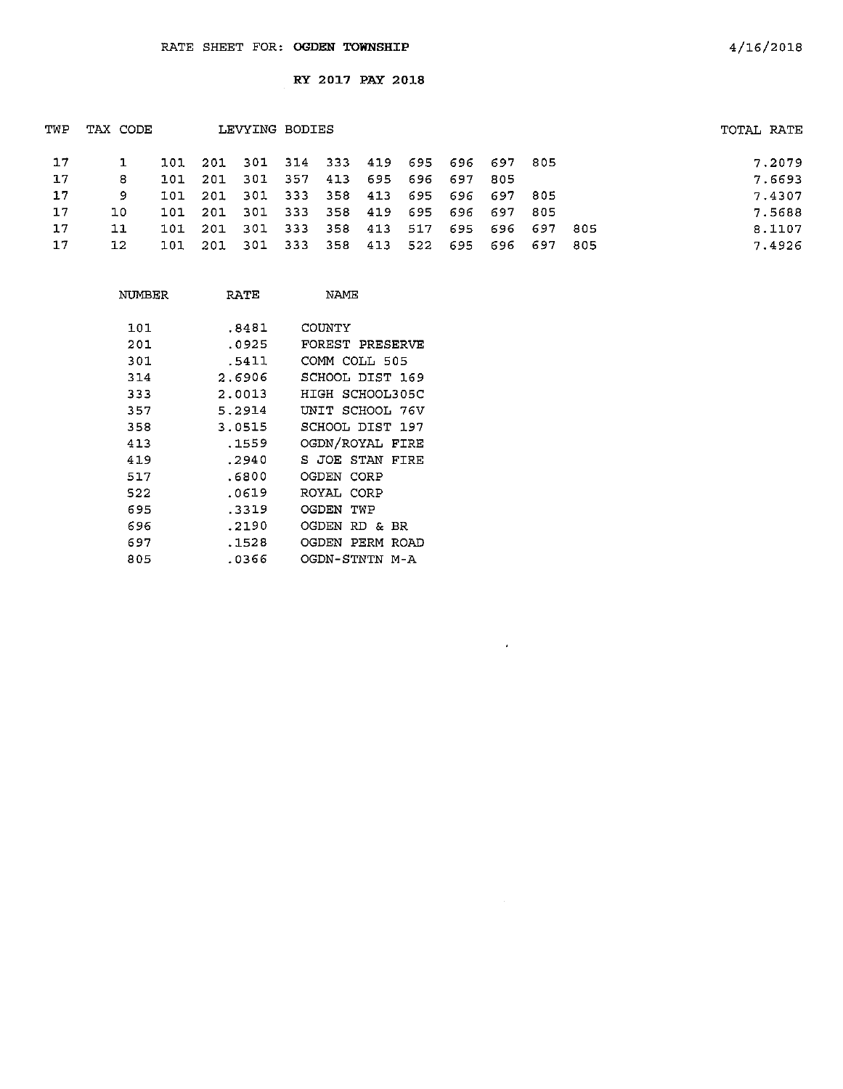| TWP | TAX CODE |      |      | LEVYING BODIES                          |      |             |     |             |             |                         |      |      | TOTAL RATE |
|-----|----------|------|------|-----------------------------------------|------|-------------|-----|-------------|-------------|-------------------------|------|------|------------|
| 17  |          |      |      | 101 201 301 314 333 419 695 696 697 805 |      |             |     |             |             |                         |      |      | 7.2079     |
| 17  | 8        | 101. | -201 | -301                                    | -357 | 413         |     | 695 696 697 |             | -805                    |      |      | 7.6693     |
| 17  | 9.       | 101  | 201  | 301                                     |      |             |     |             |             | 333 358 413 695 696 697 | -805 |      | 7.4307     |
| 17  | 10.      | 101. | 201  | -301                                    | 333  | 358         | 419 |             | 695 696 697 |                         | -805 |      | 7.5688     |
| 17  | 11       | 101  | -201 | 301                                     |      | 333 358     | 413 | 517         |             | 695 696 697             |      | -805 | 8.1107     |
| 17  | 12       | 101  | 201  | 301                                     |      | 333 358 413 |     |             |             | 522 695 696 697         |      | 805  | 7.4926     |

 $\hat{\mathcal{A}}$ 

| NUMBER | RATE   | NAME                  |
|--------|--------|-----------------------|
| 101    | .8481  | COUNTY                |
| 201    | .0925  | FOREST PRESERVE       |
| 301    | .5411  | COMM COLL 505         |
| 314    | 2.6906 | SCHOOL DIST 169       |
| 333    | 2.0013 | HIGH SCHOOL305C       |
| 357    | 5.2914 | UNIT SCHOOL 76V       |
| 358    | 3.0515 | SCHOOL DIST 197       |
| 413    | .1559  | OGDN/ROYAL FIRE       |
| 419    | .2940  | S JOE STAN<br>FIRE    |
| 517    | .6800  | OGDEN CORP            |
| 522    | .0619  | ROYAL CORP            |
| 695    | .3319  | OGDEN<br>TWP          |
| 696    | .2190  | OGDEN<br>RD & BR      |
| 697    | . 1528 | OGDEN<br>PERM<br>ROAD |
| 805    | .0366  | OGDN-STNTN M-A        |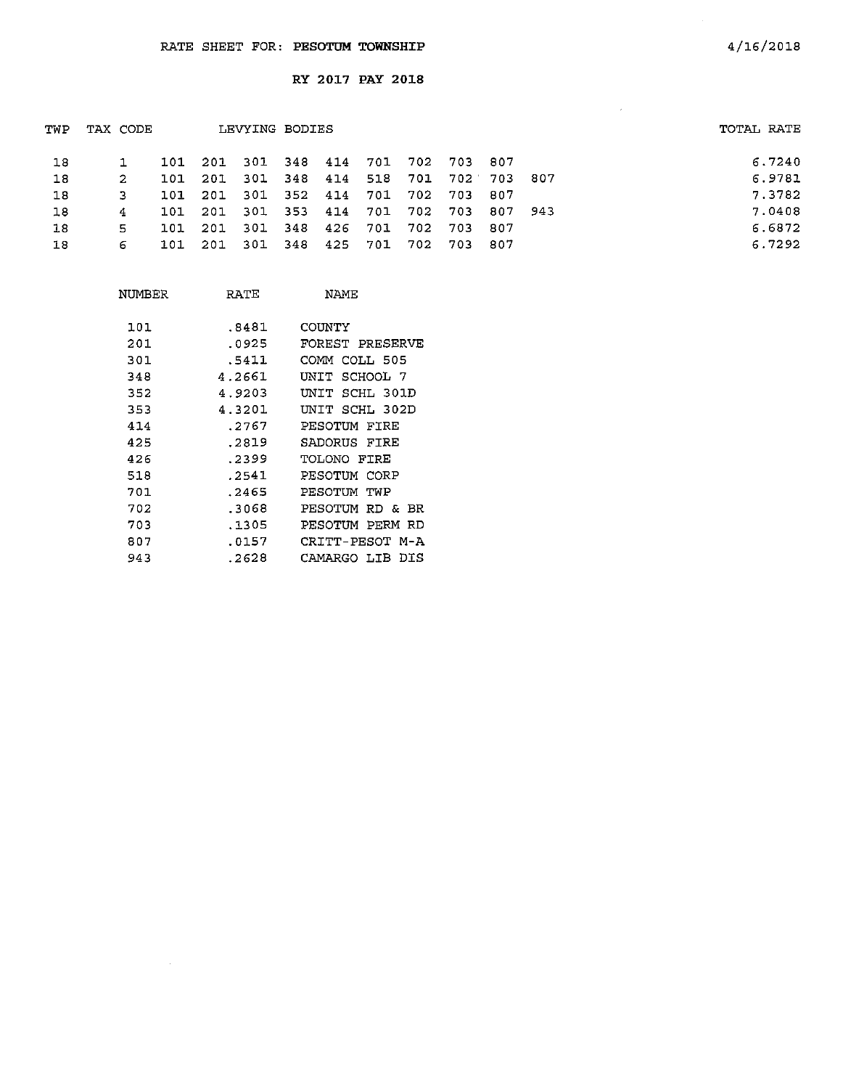| TWP | TAX CODE |     |       | LEVYING BODIES |  |  |                                     |  | TOTAL RATE |
|-----|----------|-----|-------|----------------|--|--|-------------------------------------|--|------------|
| 18  |          |     |       |                |  |  | 101 201 301 348 414 701 702 703 807 |  | 6.7240     |
| 18  | 2        | 101 | - 201 |                |  |  | 301 348 414 518 701 702 703 807     |  | 6.9781     |
| 18  |          | 101 | 201   |                |  |  | 301 352 414 701 702 703 807         |  | 7.3782     |
| 18  | 4        | 101 | - 201 |                |  |  | 301 353 414 701 702 703 807 943     |  | 7.0408     |
| 18  | 5.       | 101 | - 201 |                |  |  | 301 348 426 701 702 703 807         |  | 6.6872     |
| 18  | 6        | 101 | - 201 | - 301          |  |  | 348 425 701 702 703 807             |  | 6.7292     |
|     |          |     |       |                |  |  |                                     |  |            |

| NUMBER | RATE   | NAMF                   |
|--------|--------|------------------------|
| 101    | .8481  | COUNTY                 |
| 201    | .0925  | FOREST PRESERVE        |
| 301    | .5411  | COMM COLI 505          |
| 348    | 4.2661 | SCHOOL 7<br>UNIT       |
| 352    | 4.9203 | UNIT<br>SCHL 301D      |
| 353    | 4.3201 | UNIT SCHL 302D         |
| 414    | .2767  | PESOTUM FIRE           |
| 425    | .2819  | SADORUS FIRE           |
| 426    | .2399  | TOLONO FIRE            |
| 518    | .2541  | PESOTUM CORP           |
| 701    | . 2465 | PESOTUM<br>TWP         |
| 702    | .3068  | PESOTUM RD &<br>BR.    |
| 703    | .1305  | PESOTUM<br>PERM<br>-RD |
| 807    | .0157  | CRITT-PESOT M-A        |
| 943    | .2628  | CAMARGO LIB<br>DTS     |

 $\sim 10^{-10}$ 

4/16/2018

 $\sim$   $\mu$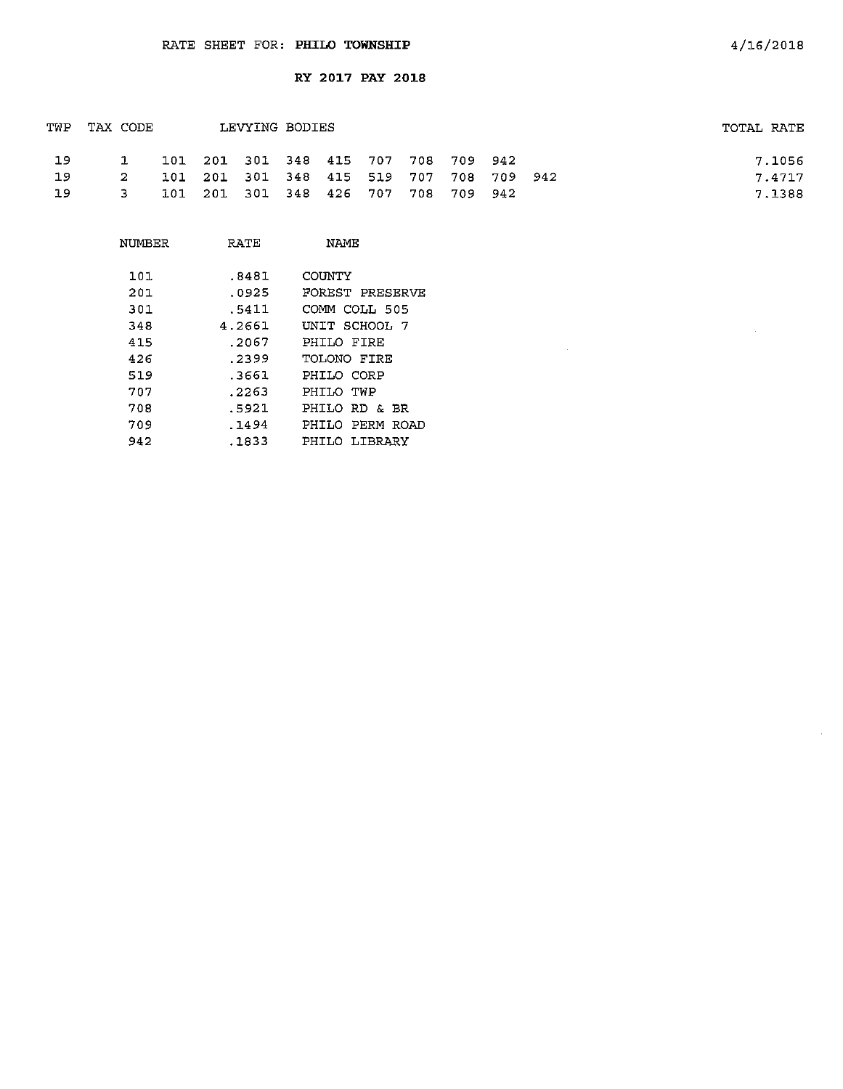| TWP | LEVYING BODIES<br>TAX CODE |  |                                     |  |  | TOTAL RATE |                                         |  |        |
|-----|----------------------------|--|-------------------------------------|--|--|------------|-----------------------------------------|--|--------|
| 19  | $\mathbf{1}$               |  | 101 201 301 348 415 707 708 709 942 |  |  |            |                                         |  | 7.1056 |
| 19  | <b>2</b>                   |  |                                     |  |  |            | 101 201 301 348 415 519 707 708 709 942 |  | 7.4717 |
| 19  | $\overline{\mathbf{3}}$    |  | 101 201 301 348 426 707 708 709 942 |  |  |            |                                         |  | 7.1388 |

| NUMBER | RATE   | NAMF            |
|--------|--------|-----------------|
| 101    | .8481  | COUNTY          |
| 201    | .0925  | FOREST PRESERVE |
| 301    | .5411  | COMM COLL 505   |
| 348    | 4.2661 | UNIT SCHOOL 7   |
| 415    | .2067  | PHILO FIRE      |
| 426    | .2399  | TOLONO FIRE     |
| 519    | .3661  | PHILO CORP      |
| 707    | . 2263 | PHILO TWP       |
| 708    | .5921  | PHILO RD & BR   |
| 709    | . 1494 | PHILO PERM ROAD |
| 942    | . 1833 | PHTLO LIBRARY   |

 $\sim$   $\sim$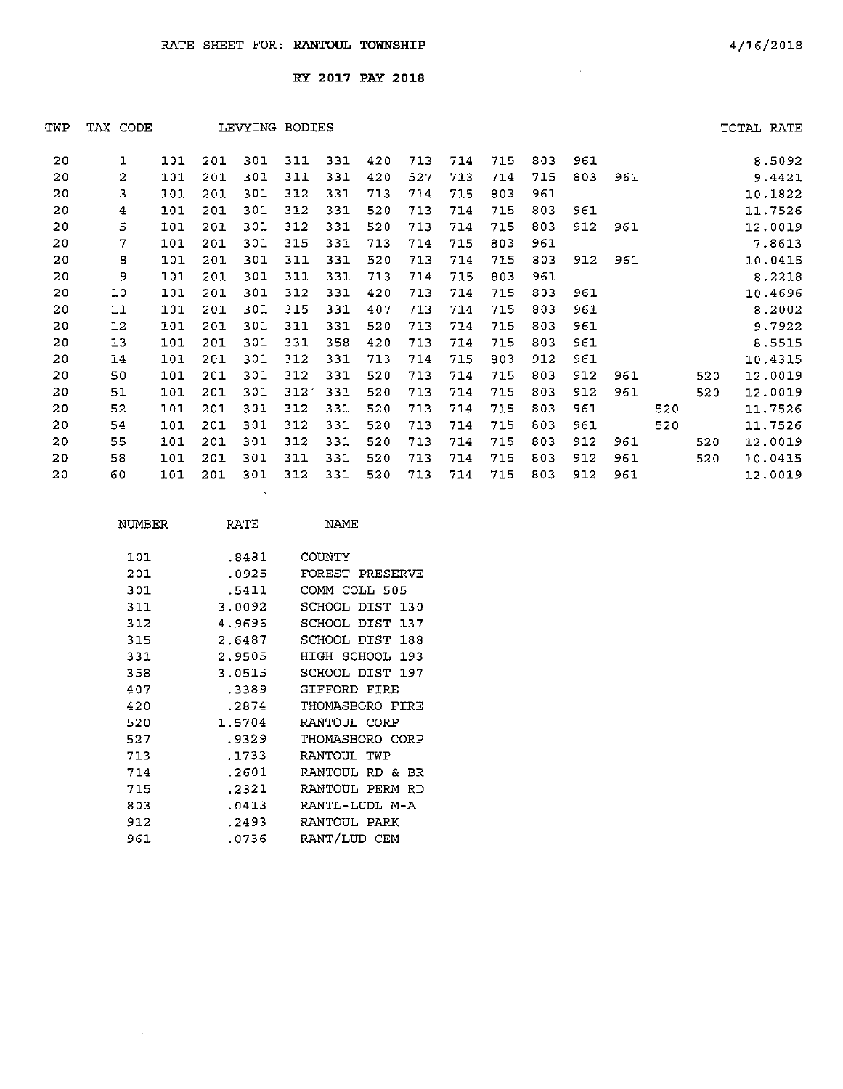| TWP | TAX CODE |     |     |          | LEVYING BODIES |     |     |     |     |     |     |     |     |     |     | TOTAL RATE |
|-----|----------|-----|-----|----------|----------------|-----|-----|-----|-----|-----|-----|-----|-----|-----|-----|------------|
| 20  | 1        | 101 | 201 | 301      | 311            | 331 | 420 | 713 | 714 | 715 | 803 | 961 |     |     |     | 8.5092     |
| 20  | 2        | 101 | 201 | 301      | 311            | 331 | 420 | 527 | 713 | 714 | 715 | 803 | 961 |     |     | 9.4421     |
| 20  | 3        | 101 | 201 | 301      | 312            | 331 | 713 | 714 | 715 | 803 | 961 |     |     |     |     | 10.1822    |
| 20  | 4        | 101 | 201 | 301      | 312            | 331 | 520 | 713 | 714 | 715 | 803 | 961 |     |     |     | 11.7526    |
| 20  | 5        | 101 | 201 | 301      | 312            | 331 | 520 | 713 | 714 | 715 | 803 | 912 | 961 |     |     | 12.0019    |
| 20  | 7        | 101 | 201 | 301      | 315            | 331 | 713 | 714 | 715 | 803 | 961 |     |     |     |     | 7.8613     |
| 20  | 8        | 101 | 201 | 301      | 311            | 331 | 520 | 713 | 714 | 715 | 803 | 912 | 961 |     |     | 10.0415    |
| 20  | 9        | 101 | 201 | 301      | 311            | 331 | 713 | 714 | 715 | 803 | 961 |     |     |     |     | 8.2218     |
| 20  | 10       | 101 | 201 | 301      | 312            | 331 | 420 | 713 | 714 | 715 | 803 | 961 |     |     |     | 10.4696    |
| 20  | 11       | 101 | 201 | 30I      | 315            | 331 | 407 | 713 | 714 | 715 | 803 | 961 |     |     |     | 8.2002     |
| 20  | 12       | 101 | 201 | 301      | 311            | 331 | 520 | 713 | 714 | 715 | 803 | 961 |     |     |     | 9.7922     |
| 20  | 13       | 101 | 201 | 301      | 331            | 358 | 420 | 713 | 714 | 715 | 803 | 961 |     |     |     | 8.5515     |
| 20  | 14       | 101 | 201 | 301      | 312            | 331 | 713 | 714 | 715 | 803 | 912 | 961 |     |     |     | 10.4315    |
| 20  | 50       | 101 | 201 | 301      | 312            | 331 | 520 | 713 | 714 | 715 | 803 | 912 | 961 |     | 520 | 12.0019    |
| 20  | 51       | 101 | 201 | 301      | 312            | 331 | 520 | 713 | 714 | 715 | 803 | 912 | 961 |     | 520 | 12.0019    |
| 20  | 52       | 101 | 201 | 301      | 312            | 331 | 520 | 713 | 714 | 715 | 803 | 961 |     | 520 |     | 11.7526    |
| 20  | 54       | 101 | 201 | 301      | 312            | 331 | 520 | 713 | 714 | 715 | 803 | 961 |     | 520 |     | 11.7526    |
| 20  | 55       | 101 | 201 | 301      | 312            | 331 | 520 | 713 | 714 | 715 | 803 | 912 | 961 |     | 520 | 12.0019    |
| 20  | 58       | 101 | 201 | 301      | 311            | 331 | 520 | 713 | 714 | 715 | 803 | 912 | 961 |     | 520 | 10.0415    |
| 20  | 60       | 101 | 201 | 301      | 312            | 331 | 520 | 713 | 714 | 715 | 803 | 912 | 961 |     |     | 12.0019    |
|     |          |     |     | $\Delta$ |                |     |     |     |     |     |     |     |     |     |     |            |

| NUMBER | RATE   | NAME.           |
|--------|--------|-----------------|
|        |        |                 |
| 101    | .8481  | COUNTY          |
| 201    | .0925  | FOREST PRESERVE |
| 301    | .5411  | COMM COLL 505   |
| 311    | 3.0092 | SCHOOL DIST 130 |
| 312    | 4.9696 | SCHOOL DIST 137 |
| 315    | 2.6487 | SCHOOL DIST 188 |
| 331    | 2.9505 | HIGH SCHOOL 193 |
| 358    | 3.0515 | SCHOOL DIST 197 |
| 407    | .3389  | GIFFORD FIRE    |
| 420    | .2874  | THOMASBORO FIRE |
| 520    | 1.5704 | RANTOUL CORP    |
| 527    | . 9329 | THOMASBORO CORP |
| 713    | .1733  | RANTOUL TWP     |
| 714    | .2601  | RANTOUL RD & BR |
| 715    | .2321  | RANTOUL PERM RD |
| 803    | .0413  | RANTL-LUDL M-A  |
| 912    | . 2493 | RANTOUL PARK    |
| 961    | .0736  | RANT/LUD CEM    |

 $\epsilon$  .

 $\sim$   $\sim$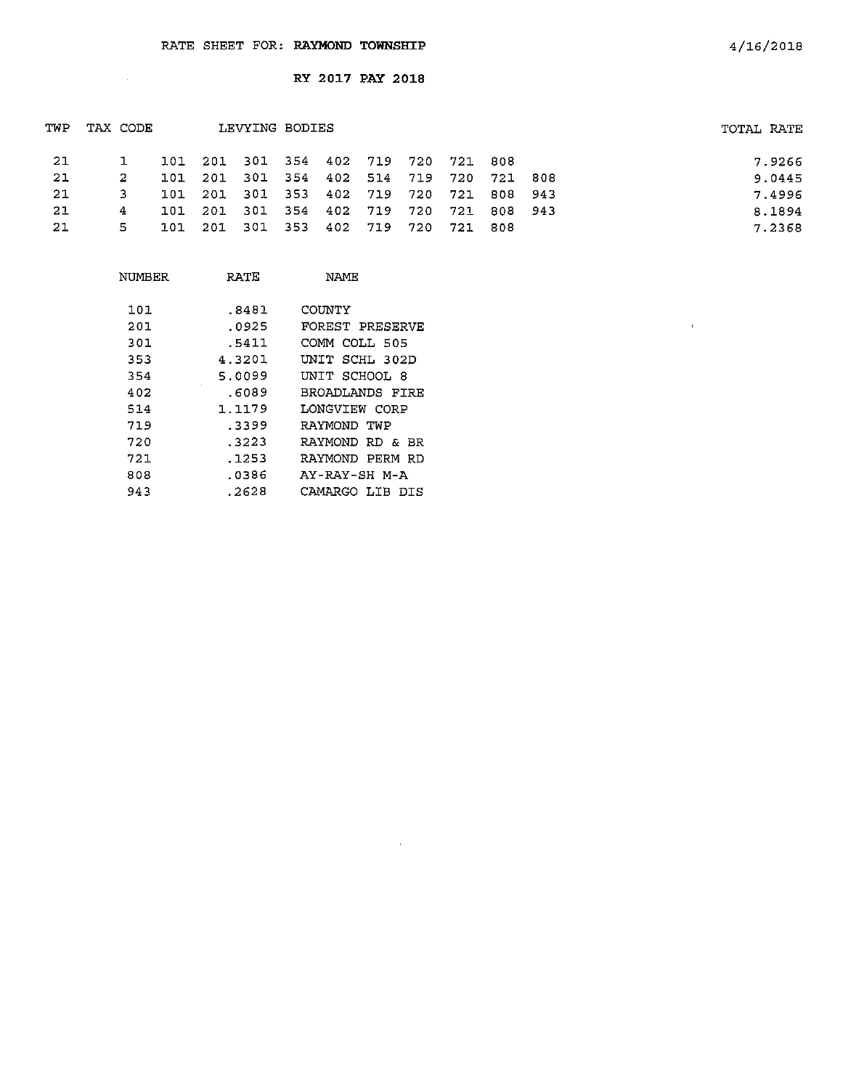$\sim$ 

RY 2017 PAY 2018

|   |     |          |      |     |                  |                |                                   |                         |                            |                        | TOTAL RATE                        |
|---|-----|----------|------|-----|------------------|----------------|-----------------------------------|-------------------------|----------------------------|------------------------|-----------------------------------|
|   |     |          |      |     |                  |                |                                   |                         |                            |                        | 7.9266                            |
| 2 | 101 | - 201    |      |     |                  |                |                                   |                         |                            |                        | 9.0445                            |
|   | 101 | 201      |      |     |                  |                |                                   |                         |                            |                        | 7.4996                            |
| 4 | 101 |          |      |     |                  |                |                                   | - 721                   |                            |                        | 8.1894                            |
| 5 | 101 | -201     | -301 |     |                  |                | -720                              | 721                     | -808                       |                        | 7.2368                            |
|   |     | TAX CODE | 201  | 301 | 301 353<br>- 353 | LEVYING BODIES | 402 719<br>354 402 719<br>402 719 | 101 201 301 354 402 719 | 301 354 402 514 719<br>720 | 720 721 808<br>720 721 | 720 721 808<br>808 943<br>808 943 |

 $\sim$   $\mu$ 

| NUMBER | RATE   | NAME            |
|--------|--------|-----------------|
| 101    | .8481  | COUNTY          |
| 201    | .0925  | FOREST PRESERVE |
| 301    | .5411  | COMM COLL 505   |
| 353    | 4.3201 | UNIT SCHL 302D  |
| 354    | 5.0099 | UNIT SCHOOL 8   |
| 402    | .6089  | BROADLANDS FIRF |
| 514    | 1.1179 | LONGVIEW CORP   |
| 719    | .3399  | RAYMOND TWP     |
| 720    | .3223  | RAYMOND RD & BR |
| 721    | .1253  | RAYMOND PERM RD |
| 808    | .0386  | AY-RAY-SH M-A   |
| 943    | .2628  | CAMARGO LIB DIS |

 $\bar{r}$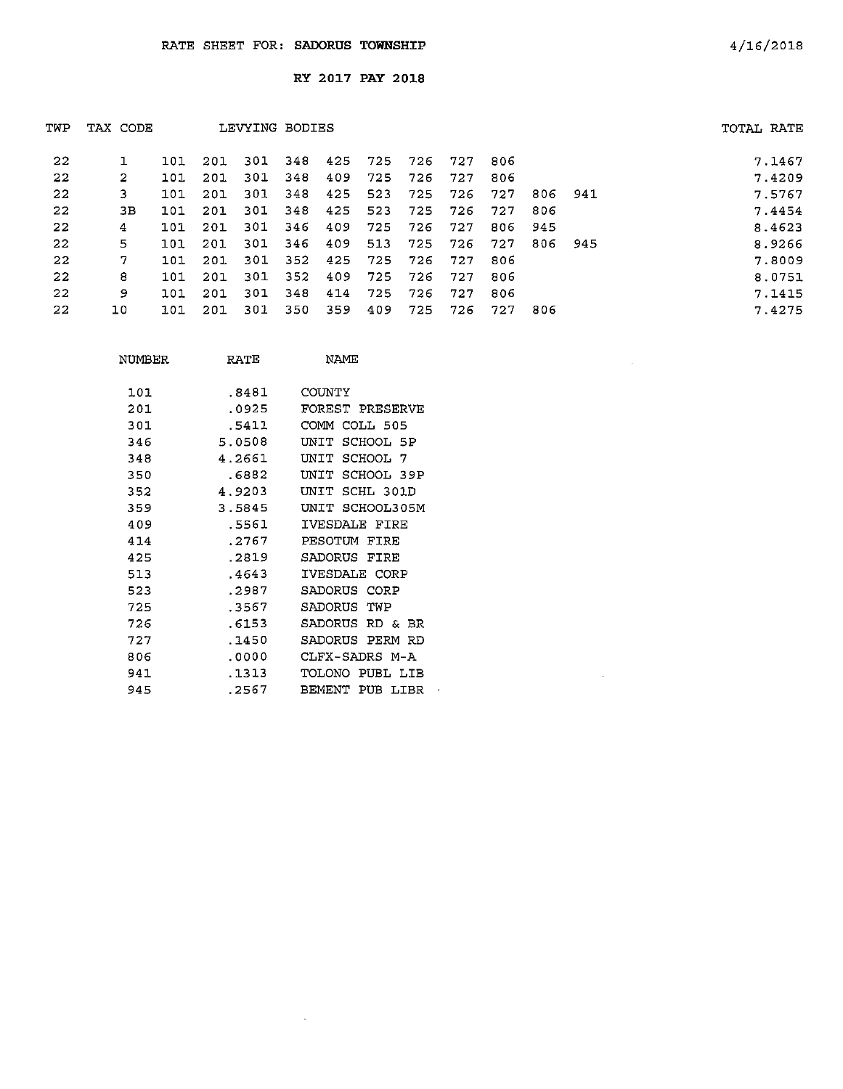| TWP | TAX CODE |     |     | LEVYING BODIES |     |     |     |     |     |      |      |     | TOTAL RATE |
|-----|----------|-----|-----|----------------|-----|-----|-----|-----|-----|------|------|-----|------------|
| 22  |          | 101 | 201 | 301            | 348 | 425 | 725 | 726 | 727 | 806  |      |     | 7.1467     |
| 22  | 2        | 101 | 201 | 301            | 348 | 409 | 725 | 726 | 727 | 806  |      |     | 7.4209     |
| 22  | 3.       | 101 | 201 | 301            | 348 | 425 | 523 | 725 | 726 | 727  | 806  | 941 | 7.5767     |
| 22  | зв       | 101 | 201 | 301            | 348 | 425 | 523 | 725 | 726 | 727  | 806  |     | 7.4454     |
| 22  | 4        | 101 | 201 | 301            | 346 | 409 | 725 | 726 | 727 | 806  | 945  |     | 8.4623     |
| 22  | 5        | 101 | 201 | 301            | 346 | 409 | 513 | 725 | 726 | 727  | 806  | 945 | 8.9266     |
| 22  | 7        | 101 | 201 | 301            | 352 | 425 | 725 | 726 | 727 | 806  |      |     | 7.8009     |
| 22  | 8        | 101 | 201 | 301            | 352 | 409 | 725 | 726 | 727 | 806  |      |     | 8.0751     |
| 22  | 9        | 101 | 201 | 301            | 348 | 414 | 725 | 726 | 727 | 806  |      |     | 7.1415     |
| 22  | 10       | 101 | 201 | 301            | 350 | 359 | 409 | 725 | 726 | -727 | -806 |     | 7.4275     |

| NUMBER | RATE   | NAME               |
|--------|--------|--------------------|
| 101    | .8481  | COUNTY             |
| 201    | .0925  | FOREST PRESERVE    |
| 301    | .5411  | COMM COLL 505      |
| 346    | 5.0508 | UNIT SCHOOL 5P     |
| 348    | 4.2661 | UNIT SCHOOL 7      |
| 350    | .6882  | UNIT SCHOOL 39P    |
| 352    | 4.9203 | UNIT SCHL 301D     |
| 359    | 3.5845 | UNIT SCHOOL305M    |
| 409    | .5561  | IVESDALE FIRE      |
| 414    | . 2767 | PESOTUM FIRE       |
| 425    | .2819  | SADORUS FIRE       |
| 513    | .4643  | IVESDALE CORP      |
| 523    | .2987  | SADORUS CORP       |
| 725    | .3567  | SADORUS TWP        |
| 726    | .6153  | SADORUS RD & BR    |
| 727    | .1450  | SADORUS PERM RD    |
| 806    | .0000  | CLFX-SADRS M-A     |
| 941    | .1313  | TOLONO<br>PUBL LIB |
| 945    | .2567  | BEMENT PUB LIBR    |
|        |        |                    |

 $\sim 10^{-1}$ 

 $\sim 10^{-1}$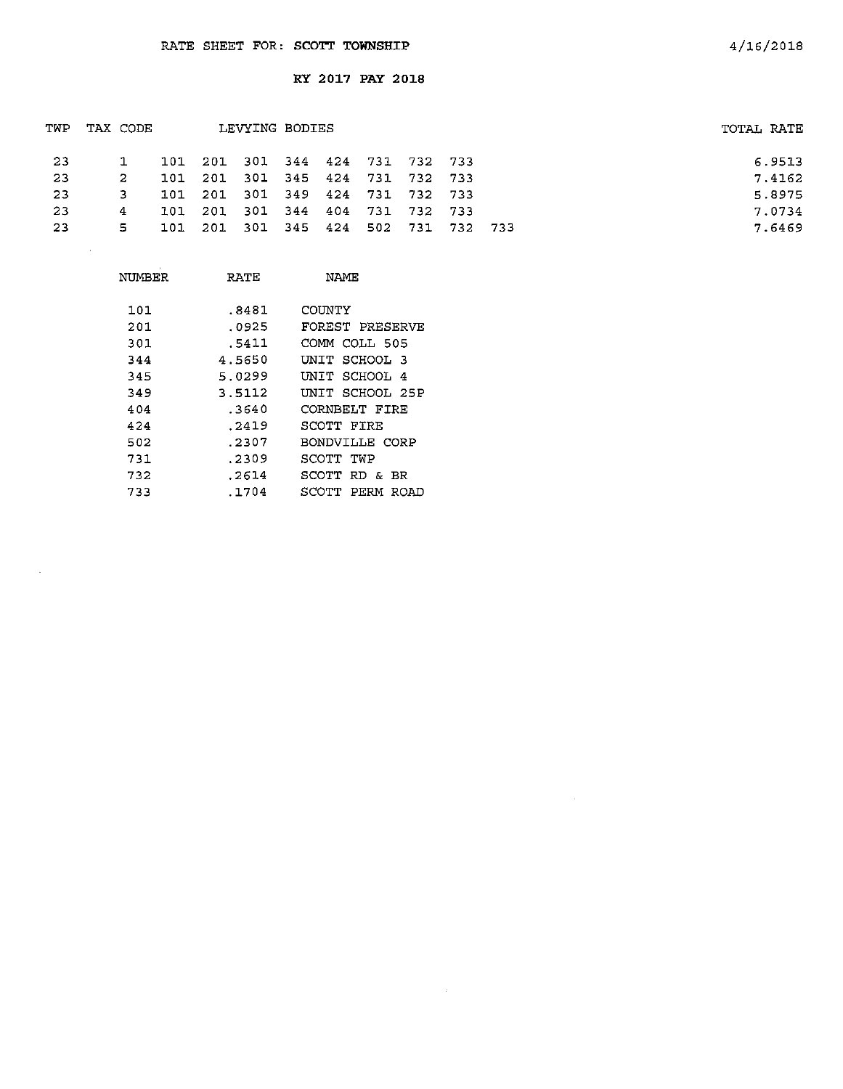| TWP | LEVYING BODIES<br>TAX CODE |     |                                     |             |     | TOTAL RATE  |         |  |        |
|-----|----------------------------|-----|-------------------------------------|-------------|-----|-------------|---------|--|--------|
| -23 |                            |     | 101 201 301 344 424 731 732 733     |             |     |             |         |  | 6.9513 |
| -23 | -2                         | 101 | 201                                 | 301 345 424 |     | 731 732 733 |         |  | 7.4162 |
| 23  | 3.                         | 101 | 201 301 349 424 731 732 733         |             |     |             |         |  | 5.8975 |
| 23  | 4                          | 101 | 201                                 | 301 344     | 404 | 731         | 732 733 |  | 7.0734 |
| -23 | 5.                         |     | 101 201 301 345 424 502 731 732 733 |             |     |             |         |  | 7.6469 |
|     | $\sim$                     |     |                                     |             |     |             |         |  |        |
|     |                            |     |                                     |             |     |             |         |  |        |

 $\sim 10^7$ 

| NUMBER | RATE   | NAME.                 |
|--------|--------|-----------------------|
|        |        |                       |
| 101    | .8481  | COUNTY                |
| 201    | .0925  | FOREST PRESERVE       |
| 301    | .5411  | COMM COLL 505         |
| 344    | 4.5650 | UNIT SCHOOL 3         |
| 345    | 5.0299 | INIT SCHOOL 4         |
| 349    | 3.5112 | UNIT SCHOOL 25P       |
| 404    | .3640  | CORNBELT FIRE         |
| 424    | .2419  | SCOTT FIRE            |
| 502    | .2307  | BONDVILLE CORP        |
| 731    | .2309  | SCOTT TWP             |
| 732    | .2614  | SCOTT RD & BR         |
| 733    | .1704  | SCOTT<br>PERM<br>ROAD |

 $\mathcal{L}$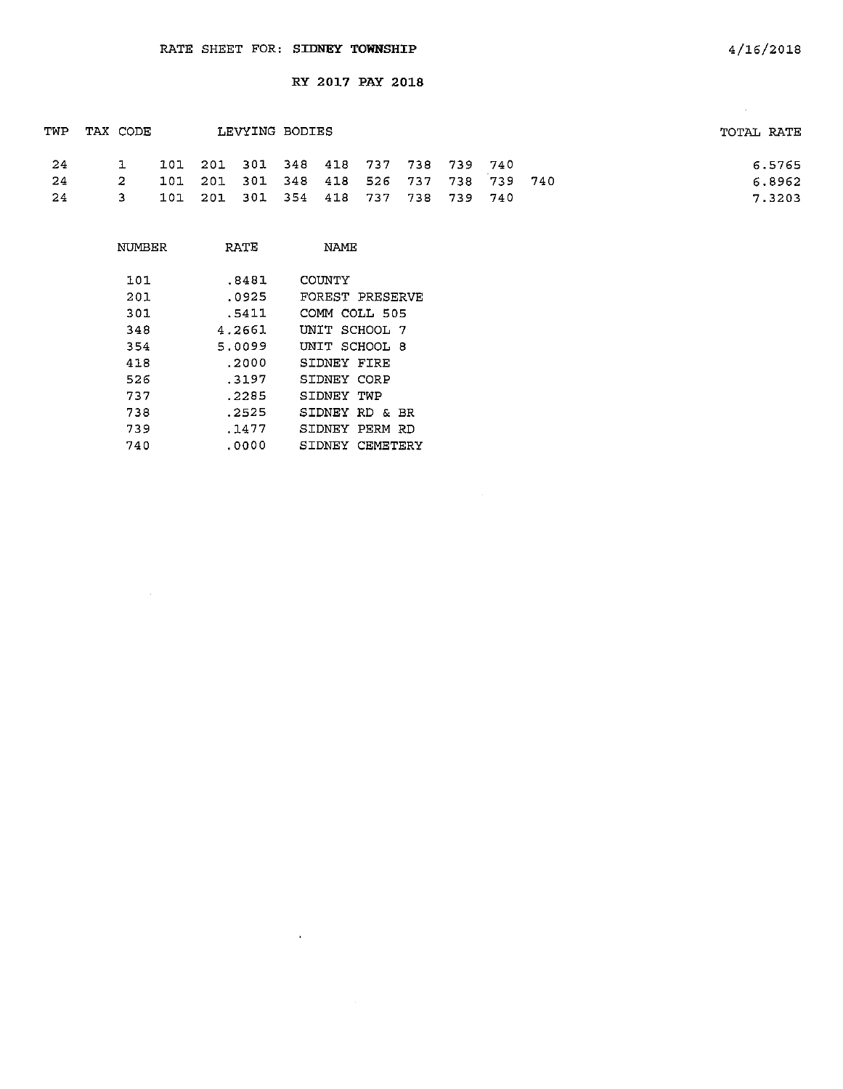| TWP | TAX CODE |                                         | LEVYING BODIES |  |  |  | TOTAL RATE |
|-----|----------|-----------------------------------------|----------------|--|--|--|------------|
| -24 |          | 101 201 301 348 418 737 738 739 740     |                |  |  |  | 6.5765     |
| -24 |          | 101 201 301 348 418 526 737 738 739 740 |                |  |  |  | 6.8962     |
| -24 | -3-      | 101 201 301 354 418 737 738 739 740     |                |  |  |  | 7.3203     |

 $\mathcal{A}^{\mathcal{A}}$ 

| NUMBER | RATE   | NAME                 |
|--------|--------|----------------------|
| 101    | .8481  | <b>COUNTY</b>        |
| 201    | .0925  | FOREST PRESERVE      |
| 301    | .5411  | COMM COLL 505        |
| 348    | 4.2661 | INIT SCHOOL 7        |
| 354    | 5.0099 | UNIT SCHOOL 8        |
| 418    | .2000  | SIDNEY FIRE          |
| 526    | .3197  | SIDNEY CORP          |
| 737    | . 2285 | SIDNEY TWP           |
| 738    | . 2525 | SIDNEY RD & BR       |
| 739    | .1477  | SIDNEY<br>PFRM<br>RD |
| 740    | .0000  | SIDNEY CEMETERY      |

 $\ddot{\phantom{1}}$ 

 $\sim 10^7$ 

 $\sim 10^{-10}$  km  $^{-1}$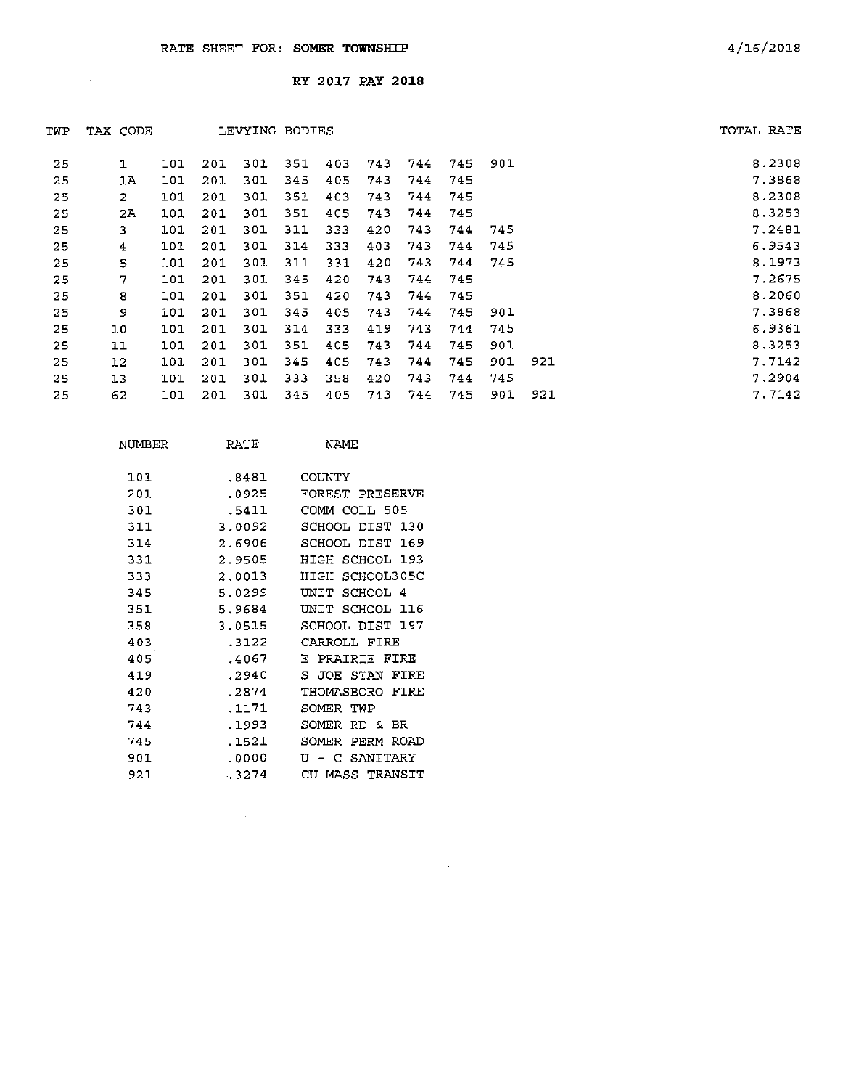$\sim$ 

RY 2017 PAY 2018

| TWP | TAX CODE           |     |     |     | LEVYING BODIES |     |     |     |     |     |     | TOTAL RATE |
|-----|--------------------|-----|-----|-----|----------------|-----|-----|-----|-----|-----|-----|------------|
| 25  | ı                  | 101 | 201 | 301 | 351            | 403 | 743 | 744 | 745 | 901 |     | 8.2308     |
| 25  | 1A                 | 101 | 201 | 301 | 345            | 405 | 743 | 744 | 745 |     |     | 7.3868     |
| 25  | $\mathbf{2}$       | 101 | 201 | 301 | 351            | 403 | 743 | 744 | 745 |     |     | 8.2308     |
| 25  | 2A                 | 101 | 201 | 301 | 351            | 405 | 743 | 744 | 745 |     |     | 8.3253     |
| 25  | 3                  | 101 | 201 | 301 | 311            | 333 | 420 | 743 | 744 | 745 |     | 7.2481     |
| 25  | $\overline{\bf 4}$ | 101 | 201 | 301 | 314            | 333 | 403 | 743 | 744 | 745 |     | 6.9543     |
| 25  | 5                  | 101 | 201 | 301 | 311            | 331 | 420 | 743 | 744 | 745 |     | 8.1973     |
| 25  | 7                  | 101 | 201 | 301 | 345            | 420 | 743 | 744 | 745 |     |     | 7.2675     |
| 25  | 8                  | 101 | 201 | 301 | 351            | 420 | 743 | 744 | 745 |     |     | 8.2060     |
| 25  | 9                  | 101 | 201 | 301 | 345            | 405 | 743 | 744 | 745 | 901 |     | 7.3868     |
| 25  | 10                 | 101 | 201 | 301 | $3-4$          | 333 | 419 | 743 | 744 | 745 |     | 6.9361     |
| 25  | 11                 | 101 | 201 | 301 | 351            | 405 | 743 | 744 | 745 | 901 |     | 8.3253     |
| 25  | 12                 | 101 | 201 | 301 | 345            | 405 | 743 | 744 | 745 | 901 | 921 | 7.7142     |
| 25  | 13                 | 101 | 201 | 301 | 333            | 358 | 420 | 743 | 744 | 745 |     | 7.2904     |
| 25  | 62                 | 101 | 201 | 301 | 345            | 405 | 743 | 744 | 745 | 901 | 921 | 7.7142     |

 $\sim$ 

 $\sim 10^{11}$ 

| 101<br>COUNTY<br>.8481<br>201<br>.0925<br>301<br>.5411<br>COMM COLL 505<br>311<br>3.0092<br>2.6906<br>314<br>SCHOOL<br>331<br>2.9505<br>HIGH<br>333<br>2.0013<br>HIGH<br>5.0299<br>345<br>UNIT<br>SCHOOL 4<br>351<br>5.9684<br>דדות | NUMBER | RATE   | NAME            |
|-------------------------------------------------------------------------------------------------------------------------------------------------------------------------------------------------------------------------------------|--------|--------|-----------------|
|                                                                                                                                                                                                                                     |        |        |                 |
|                                                                                                                                                                                                                                     |        |        |                 |
|                                                                                                                                                                                                                                     |        |        | FOREST PRESERVE |
|                                                                                                                                                                                                                                     |        |        |                 |
|                                                                                                                                                                                                                                     |        |        | SCHOOL DIST 130 |
|                                                                                                                                                                                                                                     |        |        | DIST 169        |
|                                                                                                                                                                                                                                     |        |        | SCHOOL 193      |
|                                                                                                                                                                                                                                     |        |        | SCHOOL305C      |
|                                                                                                                                                                                                                                     |        |        |                 |
|                                                                                                                                                                                                                                     |        |        | SCHOOL 116      |
|                                                                                                                                                                                                                                     | 358    | 3.0515 | SCHOOL DIST 197 |
| 403<br>.3122<br>CARROLI, FIRE                                                                                                                                                                                                       |        |        |                 |
| 405<br>.4067<br>PRAIRIE FIRE<br>E.                                                                                                                                                                                                  |        |        |                 |
| 419<br>.2940<br>S JOE STAN                                                                                                                                                                                                          |        |        | FIRE            |
| 420<br>.2874                                                                                                                                                                                                                        |        |        | THOMASBORO FIRE |
| 743<br>.1171<br>SOMER TWP                                                                                                                                                                                                           |        |        |                 |
| 744<br>.1993<br>SOMER<br>RD & BR                                                                                                                                                                                                    |        |        |                 |
| .1521<br>745<br>SOMER                                                                                                                                                                                                               |        |        | PERM ROAD       |
| 901<br>.0000<br>τT<br>SANTTARY<br>с                                                                                                                                                                                                 |        |        |                 |
| 921<br>$-3274$<br>CU                                                                                                                                                                                                                |        |        | MASS TRANSIT    |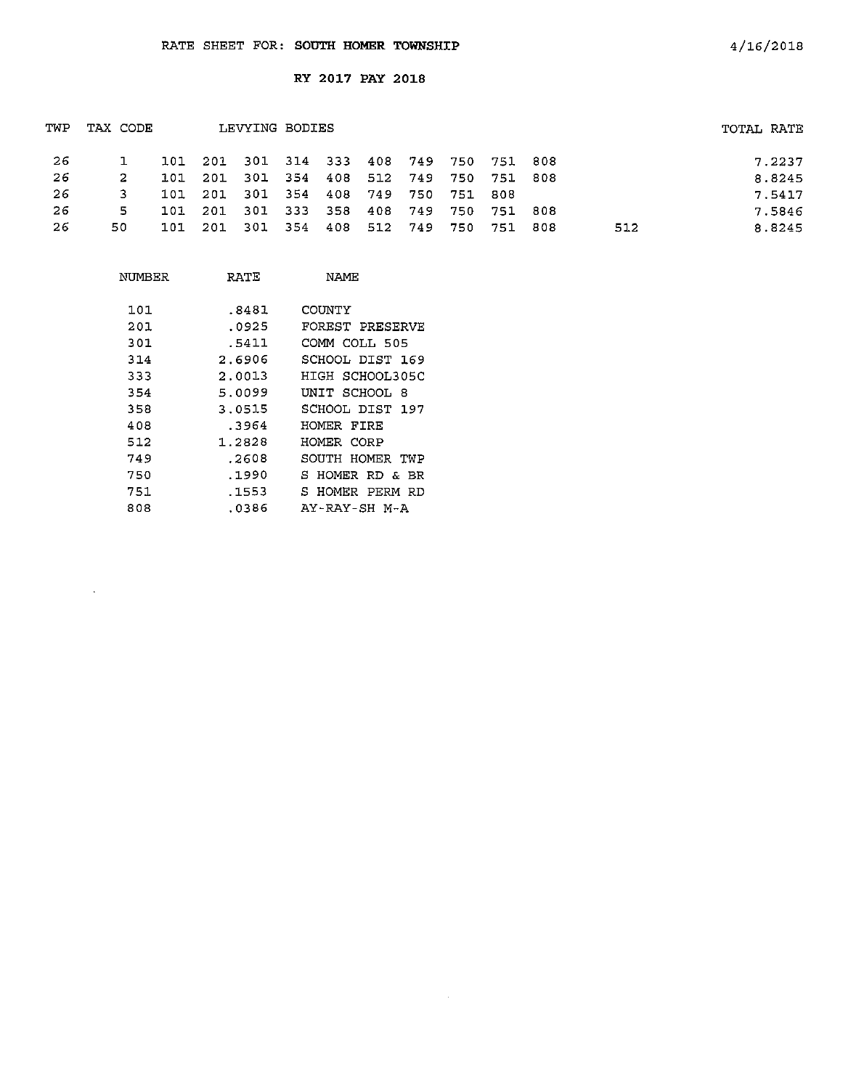| TWP | TAX CODE |      |                                         | LEVYING BODIES                  |  |  |                     |       |      |     | TOTAL RATE |  |
|-----|----------|------|-----------------------------------------|---------------------------------|--|--|---------------------|-------|------|-----|------------|--|
| -26 |          |      | 101 201 301 314 333 408 749 750 751 808 |                                 |  |  |                     |       |      |     | 7.2237     |  |
| -26 |          | 101  | - 201                                   | 301 354 408 512 749 750 751 808 |  |  |                     |       |      |     | 8.8245     |  |
| -26 |          |      | 101 201 301 354 408 749 750 751 808     |                                 |  |  |                     |       |      |     | 7.5417     |  |
| -26 | -5.      | 101. | 201                                     | 301 333 358 408 749 750 751 808 |  |  |                     |       |      |     | 7.5846     |  |
| 26  | 50.      | 101  | - 201                                   | - 301                           |  |  | 354 408 512 749 750 | 751 - | -808 | 512 | 8.8245     |  |
|     |          |      |                                         |                                 |  |  |                     |       |      |     |            |  |

| NUMBER | RATE   | NAME            |
|--------|--------|-----------------|
| 101    | .8481  | COUNTY          |
| 201    | .0925  | FOREST PRESERVE |
| 301    | .5411  | COMM COLL 505   |
| 314    | 2.6906 | SCHOOL DIST 169 |
| 333    | 2.0013 | HIGH SCHOOL305C |
| 354    | 5.0099 | UNIT SCHOOL 8   |
| 358    | 3.0515 | SCHOOL DIST 197 |
| 408    | .3964  | HOMER FIRE      |
| 512    | 1.2828 | HOMER CORP      |
| 749    | .2603  | SOUTH HOMER TWP |
| 750    | .1990  | S HOMER RD & BR |
| 751    | .1553  | S HOMER PERM RD |
| 808    | .0386  | AY-RAY-SH M-A   |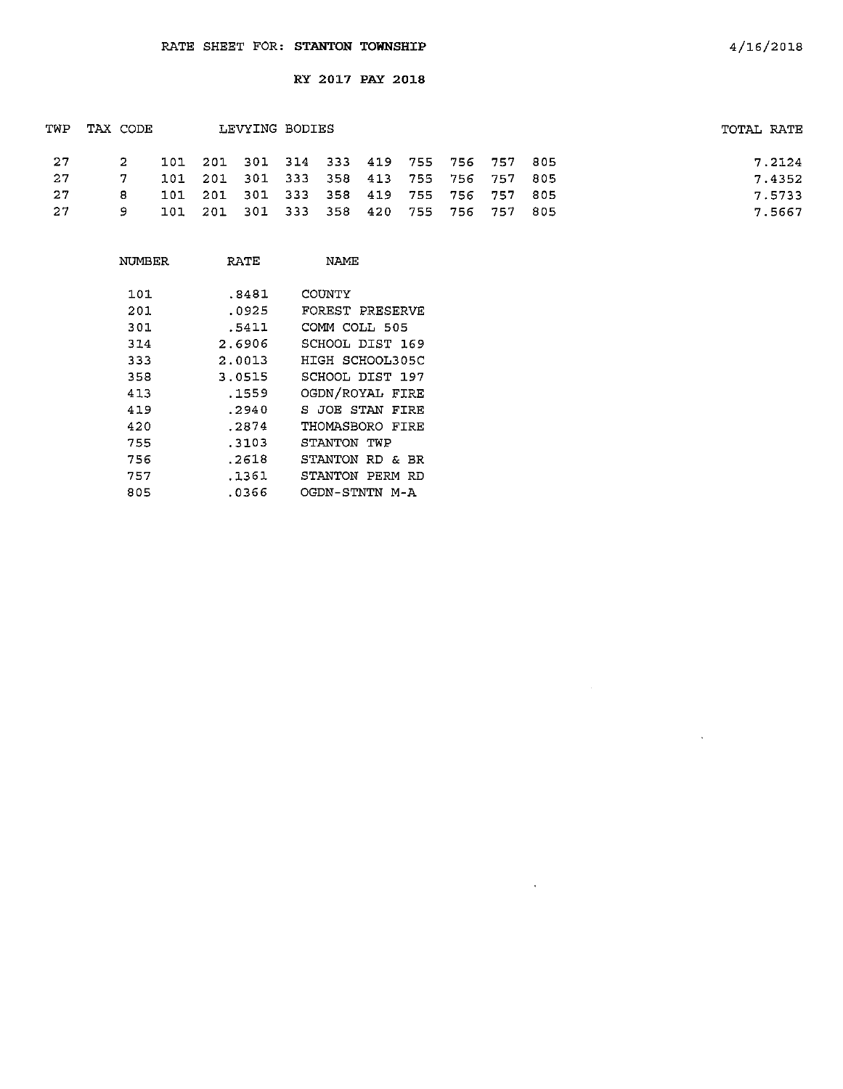| TWP | TAX CODE        |  | LEVYING BODIES                          |  |  |  | TOTAL RATE |
|-----|-----------------|--|-----------------------------------------|--|--|--|------------|
| 27  | $2^{\circ}$     |  | 101 201 301 314 333 419 755 756 757 805 |  |  |  | 7.2124     |
| 27  | $\sim$ 7 $\sim$ |  | 101 201 301 333 358 413 755 756 757 805 |  |  |  | 7.4352     |
| 27  | 8.              |  | 101 201 301 333 358 419 755 756 757 805 |  |  |  | 7.5733     |
| 27  | 9.              |  | 101 201 301 333 358 420 755 756 757 805 |  |  |  | 7.5667     |

| NUMBER | RATE   | NAME            |
|--------|--------|-----------------|
| 101    | .8481  | COUNTY          |
| 201    | .0925  | FOREST PRESERVE |
| 301    | .5411  | COMM COLL 505   |
| 314    | 2.6906 | SCHOOL DIST 169 |
| 333    | 2.0013 | HIGH SCHOOL305C |
| 358    | 3.0515 | SCHOOL DIST 197 |
| 413    | .1559  | OGDN/ROYAL FIRE |
| 419    | .2940  | S JOE STAN FIRE |
| 420    | .2874  | THOMASBORO FTRE |
| 755    | - 3103 | STANTON TWP     |
| 756    | .2618  | STANTON RD & BR |
| 757    | .1361  | STANTON PERM RD |
| 805    | .0366  | OGDN-STNTN M-A  |

 $\sim$   $\sim$ 

 $\sim 10^{-1}$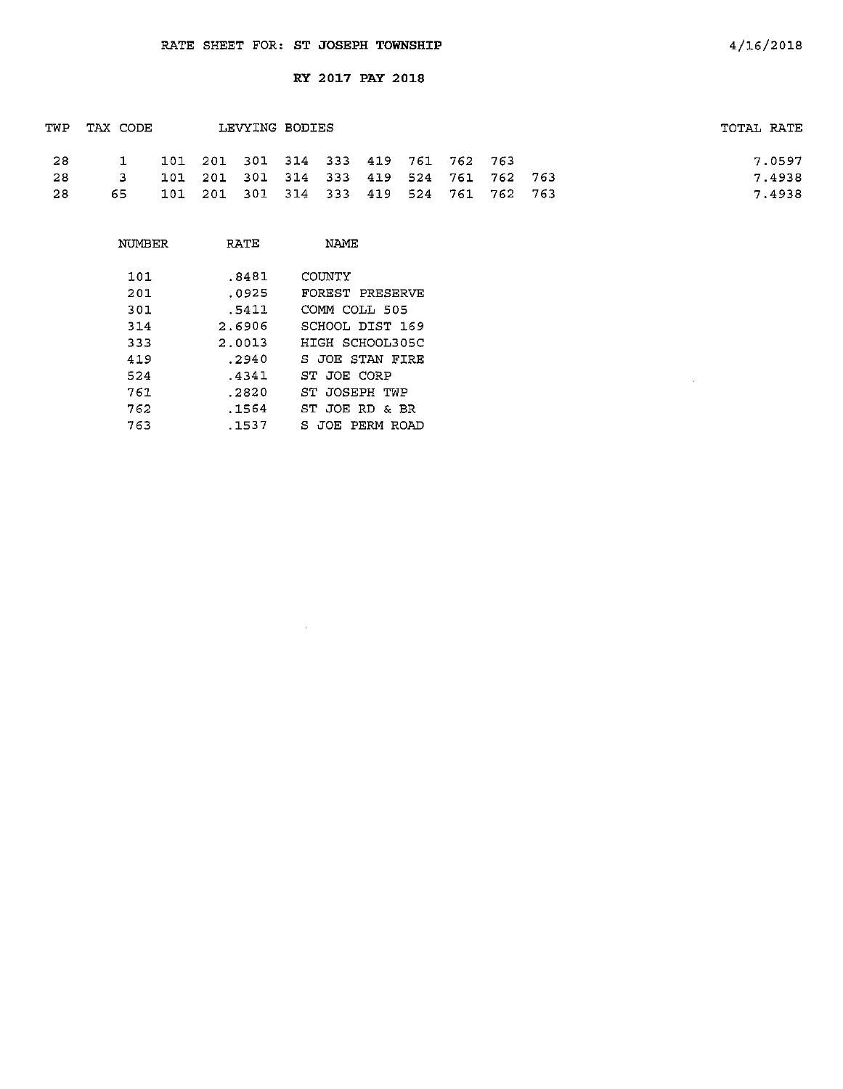| TWP  | TAX CODE     |  | LEVYING BODIES                      |  |  |                                         | TOTAL RATE |
|------|--------------|--|-------------------------------------|--|--|-----------------------------------------|------------|
| - 28 |              |  | 101 201 301 314 333 419 761 762 763 |  |  |                                         | 7.0597     |
| -28  | $\mathbf{B}$ |  |                                     |  |  | 101 201 301 314 333 419 524 761 762 763 | 7.4938     |
| -28  | 65.          |  |                                     |  |  | 101 201 301 314 333 419 524 761 762 763 | 7.4938     |

| NUMBER | RATE   | NAME            |
|--------|--------|-----------------|
|        |        |                 |
| 101    | .8481  | COUNTY          |
| 201    | .0925  | FOREST PRESERVE |
| 301    | .5411  | COMM COLL 505   |
| 314    | 2.6906 | SCHOOL DIST 169 |
| 333    | 2.0013 | HIGH SCHOOL305C |
| 419    | .2940  | S JOE STAN FIRE |
| 524    | .4341  | ST JOE CORP     |
| 761    | .2820  | ST JOSEPH TWP   |
| 762    | .1564  | ST JOE RD & BR  |
| 763    | .1537  | S JOE PERM ROAD |

 $\sim 10^{-11}$ 

 $\mathcal{A}^{\mathcal{A}}$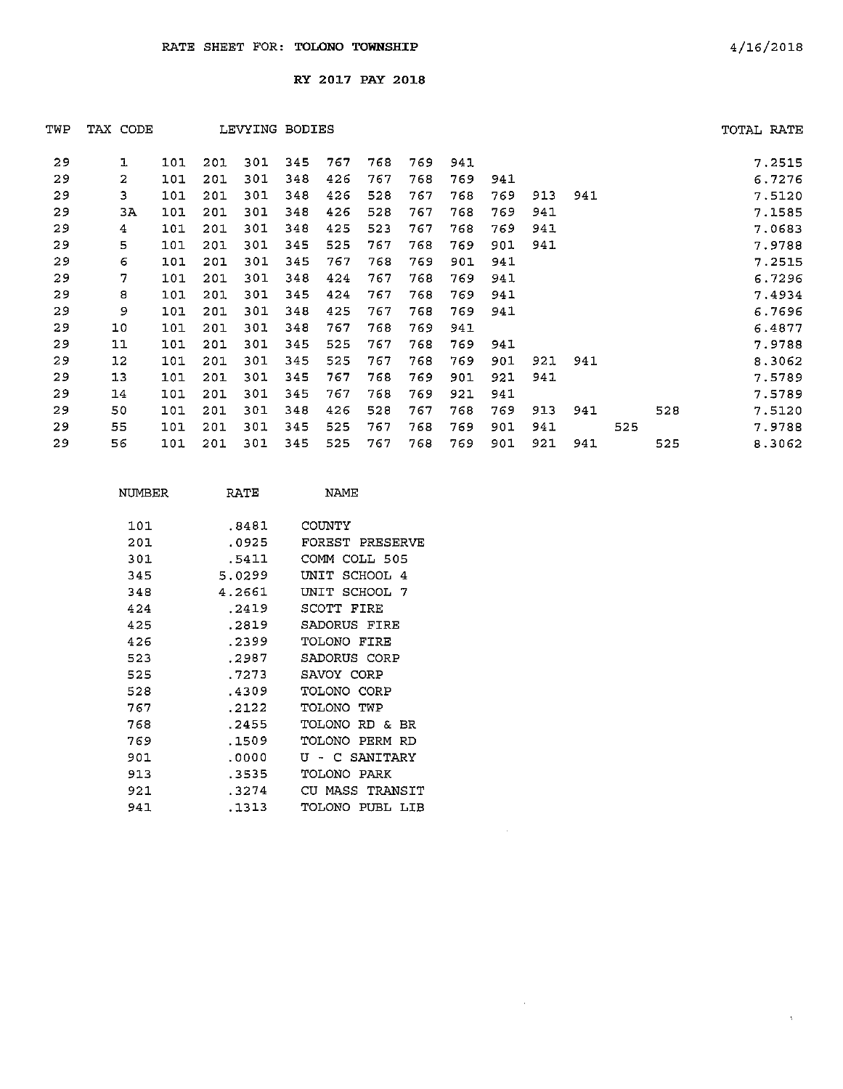| TWP | TAX CODE |     |     |     | LEVYING BODIES |     |     |     |     |     |     |     |     |     | TOTAL RATE |
|-----|----------|-----|-----|-----|----------------|-----|-----|-----|-----|-----|-----|-----|-----|-----|------------|
| 29  | ı        | 101 | 201 | 301 | 345            | 767 | 768 | 769 | 941 |     |     |     |     |     | 7.2515     |
| 29  | 2        | 101 | 201 | 301 | 348            | 426 | 767 | 768 | 769 | 941 |     |     |     |     | 6.7276     |
| 29  | з        | 101 | 201 | 301 | 348            | 426 | 528 | 767 | 768 | 769 | 913 | 941 |     |     | 7.5120     |
| 29  | ЗA       | 101 | 201 | 301 | 348            | 426 | 528 | 767 | 768 | 769 | 941 |     |     |     | 7.1585     |
| 29  | 4        | 101 | 201 | 301 | 348            | 425 | 523 | 767 | 768 | 769 | 941 |     |     |     | 7.0683     |
| 29  | 5        | 101 | 201 | 301 | 345            | 525 | 767 | 768 | 769 | 901 | 941 |     |     |     | 7.9788     |
| 29  | 6        | 101 | 201 | 301 | 345            | 767 | 768 | 769 | 901 | 941 |     |     |     |     | 7.2515     |
| 29  | 7        | 101 | 201 | 301 | 348            | 424 | 767 | 768 | 769 | 941 |     |     |     |     | 6.7296     |
| 29  | 8        | 101 | 201 | 301 | 345            | 424 | 767 | 768 | 769 | 941 |     |     |     |     | 7.4934     |
| 29  | 9        | 101 | 201 | 301 | 348            | 425 | 767 | 768 | 769 | 941 |     |     |     |     | 6.7696     |
| 29  | 10       | 101 | 201 | 301 | 348            | 767 | 768 | 769 | 941 |     |     |     |     |     | 6.4877     |
| 29  | 11       | 101 | 201 | 301 | 345            | 525 | 767 | 768 | 769 | 941 |     |     |     |     | 7.9788     |
| 29  | 12       | 101 | 201 | 301 | 345            | 525 | 767 | 768 | 769 | 901 | 921 | 941 |     |     | 8.3062     |
| 29  | 13       | 101 | 201 | 301 | 345            | 767 | 768 | 769 | 901 | 921 | 941 |     |     |     | 7.5789     |
| 29  | 14       | 101 | 201 | 301 | 345            | 767 | 768 | 769 | 921 | 941 |     |     |     |     | 7.5789     |
| 29  | 50       | 101 | 201 | 301 | 348            | 426 | 528 | 767 | 768 | 769 | 913 | 941 |     | 528 | 7.5120     |
| 29  | 55       | 101 | 201 | 301 | 345            | 525 | 767 | 768 | 769 | 901 | 941 |     | 525 |     | 7.9788     |
| 29  | 56       | 101 | 201 | 301 | 345            | 525 | 767 | 768 | 769 | 901 | 921 | 941 |     | 525 | 8.3062     |

 $\sim 10^{-1}$ 

| NIMBER | RATE   | <b>NAME</b>                  |
|--------|--------|------------------------------|
| 101    | .8481  | COUNTY                       |
| 201    | .0925  | FOREST PRESERVE              |
| 301    | .5411  | COMM COLL 505                |
| 345    | 5.0299 | SCHOOL 4<br>INIT             |
| 348    | 4.2661 | UNIT SCHOOL 7                |
| 424    | -2419  | SCOTT FIRE                   |
| 425    | .2819  | SADORUS FIRE                 |
| 426    | . 2299 | TOLONO FIRE                  |
| 523    | .2987  | SADORUS CORP                 |
| 525    | . 7273 | SAVOY CORP                   |
| 528    | .4309  | TOLONO CORP                  |
| 767    | .2122  | TOI ONO.<br>TW P             |
| 768    | .2455  | <b>TOLONO RD &amp;</b><br>BR |
| 769    | .1509  | TOLONO PERM RD               |
| 901    | . 0000 | U - C SANITARY               |
| 913    | . 3535 | TOLONO PARK                  |
| 921    | . 3274 | CU MASS TRANSIT              |
| 941    | . 1313 | TOLONO<br>PUBL LIB           |

 $\Lambda^+$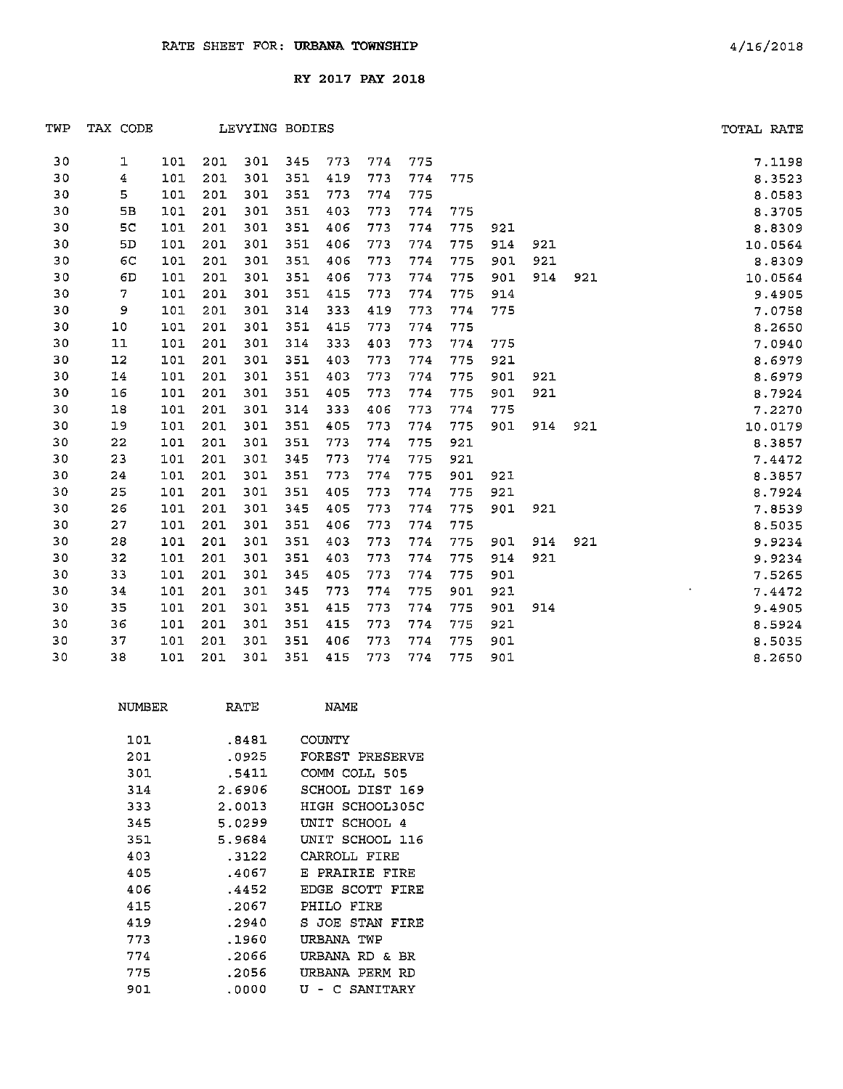| TWP | TAX CODE         |     |     | LEVYING BODIES |     |     |     |     |     |     |     |     | TOTAL RATE |
|-----|------------------|-----|-----|----------------|-----|-----|-----|-----|-----|-----|-----|-----|------------|
| 30  | 1                | 101 | 201 | 301            | 345 | 773 | 774 | 775 |     |     |     |     | 7.1198     |
| 30  | $\spadesuit$     | 101 | 201 | 301            | 351 | 419 | 773 | 774 | 775 |     |     |     | 8.3523     |
| 30  | 5                | 101 | 201 | 301            | 351 | 773 | 774 | 775 |     |     |     |     | 8.0583     |
| 30  | 5 <b>B</b>       | 101 | 201 | 301            | 351 | 403 | 773 | 774 | 775 |     |     |     | 8.3705     |
| 30  | 5C               | 101 | 201 | 301            | 351 | 406 | 773 | 774 | 775 | 921 |     |     | 8.8309     |
| 30  | 5D               | 101 | 201 | 301            | 351 | 406 | 773 | 774 | 775 | 914 | 921 |     | 10.0564    |
| 30  | 6C               | 101 | 201 | 301            | 351 | 406 | 773 | 774 | 775 | 901 | 921 |     | 8.8309     |
| 30  | 6D               | 101 | 201 | 301            | 351 | 406 | 773 | 774 | 775 | 901 | 914 | 921 | 10.0564    |
| 30  | $\boldsymbol{7}$ | 101 | 201 | 301            | 351 | 415 | 773 | 774 | 775 | 914 |     |     | 9.4905     |
| 30  | 9                | 101 | 201 | 301            | 314 | 333 | 419 | 773 | 774 | 775 |     |     | 7.0758     |
| 30  | 10               | 101 | 201 | 301            | 351 | 415 | 773 | 774 | 775 |     |     |     | 8.2650     |
| 30  | ${\bf 1.1}$      | 101 | 201 | 301            | 314 | 333 | 403 | 773 | 774 | 775 |     |     | 7.0940     |
| 30  | 12               | 101 | 201 | 301            | 351 | 403 | 773 | 774 | 775 | 921 |     |     | 8.6979     |
| 30  | 14               | 101 | 201 | 301            | 351 | 403 | 773 | 774 | 775 | 901 | 921 |     | 8.6979     |
| 30  | 16               | 101 | 201 | 301            | 351 | 405 | 773 | 774 | 775 | 901 | 921 |     | 8.7924     |
| 30  | 18               | 101 | 201 | 301            | 314 | 333 | 406 | 773 | 774 | 775 |     |     | 7.2270     |
| 30  | 19               | 101 | 201 | 301            | 351 | 405 | 773 | 774 | 775 | 901 | 914 | 921 | 10.0179    |
| 30  | 22               | 101 | 201 | 301            | 351 | 773 | 774 | 775 | 921 |     |     |     | 8.3857     |
| 30  | 23               | 101 | 201 | 301            | 345 | 773 | 774 | 775 | 921 |     |     |     | 7.4472     |
| 30  | 24               | 101 | 201 | 301            | 351 | 773 | 774 | 775 | 901 | 921 |     |     | 8.3857     |
| 30  | 25               | 101 | 201 | 301            | 351 | 405 | 773 | 774 | 775 | 921 |     |     | 8.7924     |
| 30  | 26               | 101 | 201 | 301            | 345 | 405 | 773 | 774 | 775 | 901 | 921 |     | 7.8539     |
| 30  | 27               | 101 | 201 | 301            | 351 | 406 | 773 | 774 | 775 |     |     |     | 8.5035     |
| 30  | 28               | 101 | 201 | 301            | 351 | 403 | 773 | 774 | 775 | 901 | 914 | 921 | 9.9234     |
| 30  | 32               | 101 | 201 | 301            | 351 | 403 | 773 | 774 | 775 | 914 | 921 |     | 9.9234     |
| 30  | 33               | 101 | 201 | 301            | 345 | 405 | 773 | 774 | 775 | 901 |     |     | 7.5265     |
| 30  | 34               | 101 | 201 | 301            | 345 | 773 | 774 | 775 | 901 | 921 |     |     | 7.4472     |
| 30  | 35               | 101 | 201 | 301            | 351 | 415 | 773 | 774 | 775 | 901 | 914 |     | 9.4905     |
| 30  | 36               | 101 | 201 | 301            | 351 | 415 | 773 | 774 | 775 | 921 |     |     | 8.5924     |
| 30  | 37               | 101 | 201 | 301            | 351 | 406 | 773 | 774 | 775 | 901 |     |     | 8.5035     |
| 30  | 38               | 101 | 201 | 301            | 351 | 415 | 773 | 774 | 775 | 901 |     |     | 8.2650     |

| NUMEER | RATE   | NAME                 |
|--------|--------|----------------------|
| 101    | .8481  | COUNTY               |
| 201    | .0925  | FOREST PRESERVE      |
| 301    | .5411  | COMM COLL 505        |
| 314    | 2.6906 | SCHOOL DIST 169      |
| 333    | 2.0013 | HIGH SCHOOL305C      |
| 345    | 5.0299 | SCHOOL 4<br>UNIT     |
| 351    | 5.9684 | UNIT SCHOOL 116      |
| 403    | .3122  | CARROLL FIRE         |
| 405    | .4067  | PRAIRIE FIRE<br>E.   |
| 406    | .4452  | EDGE SCOTT FIRE      |
| 415    | .2067  | PHILO FIRE           |
| 419    | .2940  | S JOE STAN<br>FIRE   |
| 773    | .1960  | URBANA TWP           |
| 774    | .2066  | URBANA<br>RD &<br>BR |
| 775    | .2056  | URBANA PERM<br>ח א   |
| 901    | . 0000 | ŢŢ<br>SANITARY<br>C  |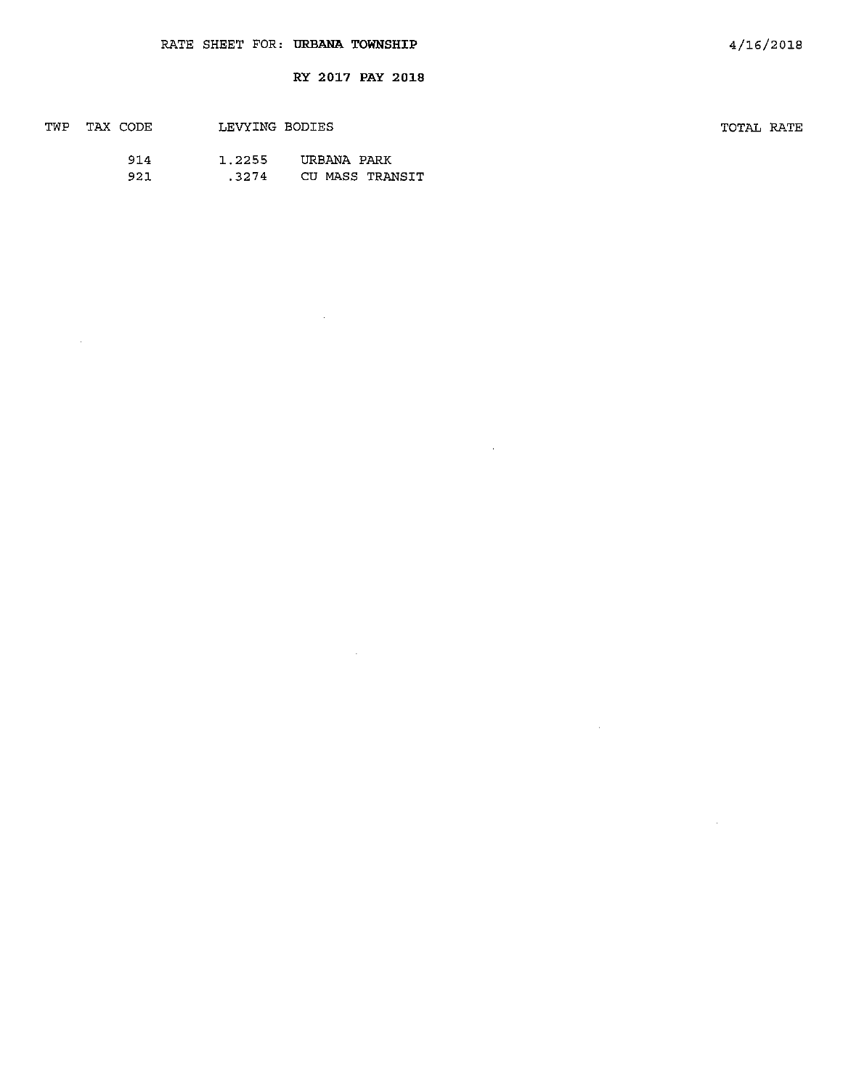$\sim 40^{\circ}$ 

 $\sim 10^6$ 

 $\hat{\boldsymbol{\beta}}$ 

| TWP | TAX CODE | LEVYING BODIES |                 | TOTAL RATE |  |
|-----|----------|----------------|-----------------|------------|--|
|     | 914      | 1.2255         | URBANA PARK     |            |  |
|     | 921      | .3274          | CU MASS TRANSIT |            |  |

 $\sim 10^7$ 

 $\sim 10^7$ 

 $\sim$   $\alpha$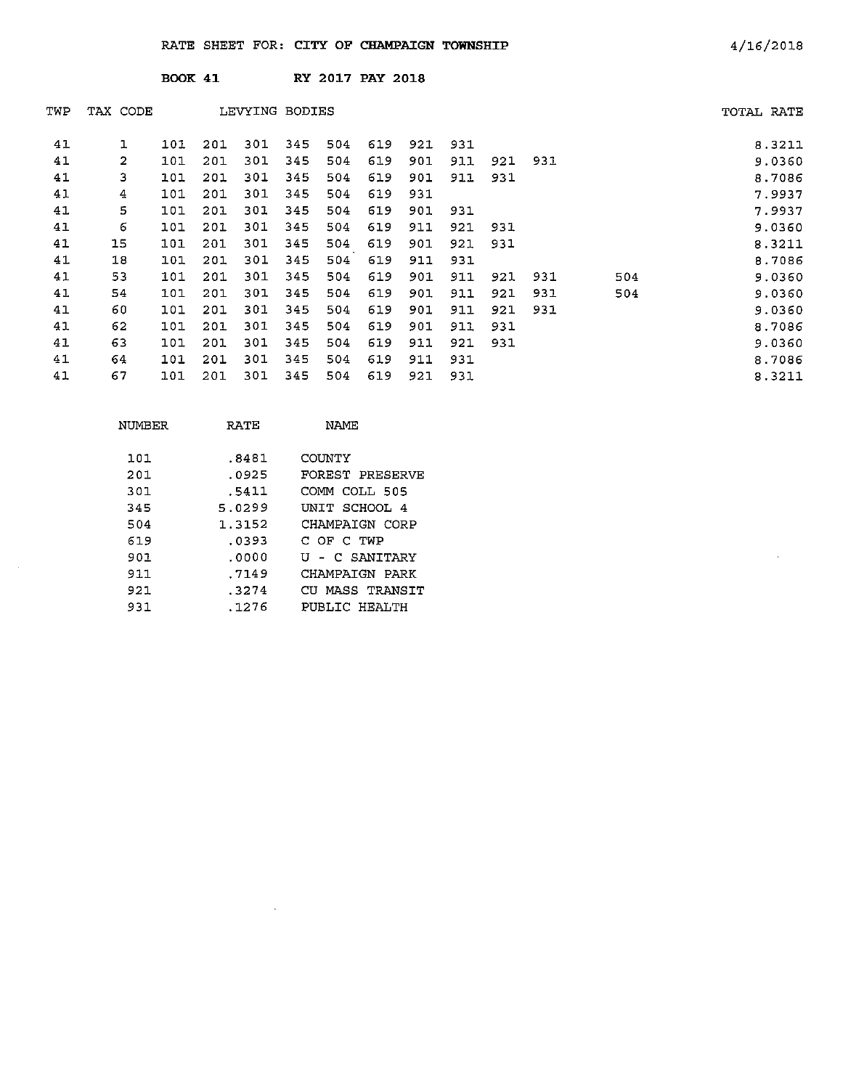|     |              | <b>BOOK 41</b> |     |                |     |     | <b>RY 2017 PAY 2018</b> |     |     |     |     |     |            |
|-----|--------------|----------------|-----|----------------|-----|-----|-------------------------|-----|-----|-----|-----|-----|------------|
| TWP | TAX CODE     |                |     | LEVYING BODIES |     |     |                         |     |     |     |     |     | TOTAL RATE |
| 41  | $\mathbf{1}$ | 101            | 201 | 301            | 345 | 504 | 619                     | 921 | 931 |     |     |     | 8.3211     |
| 41  | 2            | 101            | 201 | 301            | 345 | 504 | 619                     | 901 | 911 | 921 | 931 |     | 9.0360     |
| 41  | з            | 101            | 201 | 301            | 345 | 504 | 619                     | 901 | 911 | 931 |     |     | 8.7086     |
| 41  | 4            | 101            | 201 | 301            | 345 | 504 | 619                     | 931 |     |     |     |     | 7.9937     |
| 41  | 5            | 101            | 201 | 301            | 345 | 504 | 619                     | 901 | 931 |     |     |     | 7.9937     |
| 41  | 6            | 101            | 201 | 301            | 345 | 504 | 619                     | 911 | 921 | 931 |     |     | 9.0360     |
| 41  | 15           | 101            | 201 | 301            | 345 | 504 | 619                     | 901 | 921 | 931 |     |     | 8.3211     |
| 41  | 18           | 101            | 201 | 301            | 345 | 504 | 619                     | 911 | 931 |     |     |     | 8.7086     |
| 41  | 53           | 101            | 201 | 301            | 345 | 504 | 619                     | 901 | 911 | 921 | 931 | 504 | 9.0360     |
| 41  | 54           | 101            | 201 | 301            | 345 | 504 | 619                     | 901 | 911 | 921 | 931 | 504 | 9.0360     |
| 41  | 60           | 101            | 201 | 301            | 345 | 504 | 619                     | 901 | 911 | 921 | 931 |     | 9.0360     |
| 41  | 62           | 101            | 201 | 301            | 345 | 504 | 619                     | 901 | 911 | 931 |     |     | 8.7086     |
| 41  | 63           | 101            | 201 | 301            | 345 | 504 | 619                     | 911 | 921 | 931 |     |     | 9.0360     |
| 41  | 64           | 101            | 201 | 301            | 345 | 504 | 619                     | 911 | 931 |     |     |     | 8.7086     |
| 41  | 67           | 101            | 201 | 301            | 345 | 504 | 619                     | 921 | 931 |     |     |     | 8.3211     |

| NUMBER | RATE   | NAME            |
|--------|--------|-----------------|
| 101    | .8481  | COUNTY          |
| 201    | .0925  | FOREST PRESERVE |
| 301    | .5411  | COMM COLL 505   |
| 345    | 5.0299 | UNIT SCHOOL 4   |
| 504    | 1.3152 | CHAMPAIGN CORP  |
| 619    | .0393  | C OF C TWP      |
| 901    | .0000  | U - C SANITARY  |
| 911    | .7149  | CHAMPATGN PARK  |
| 921    | .3274  | CU MASS TRANSIT |
| 931    | .1276  | PUBLIC HEALTH   |

 $\sim$   $\alpha$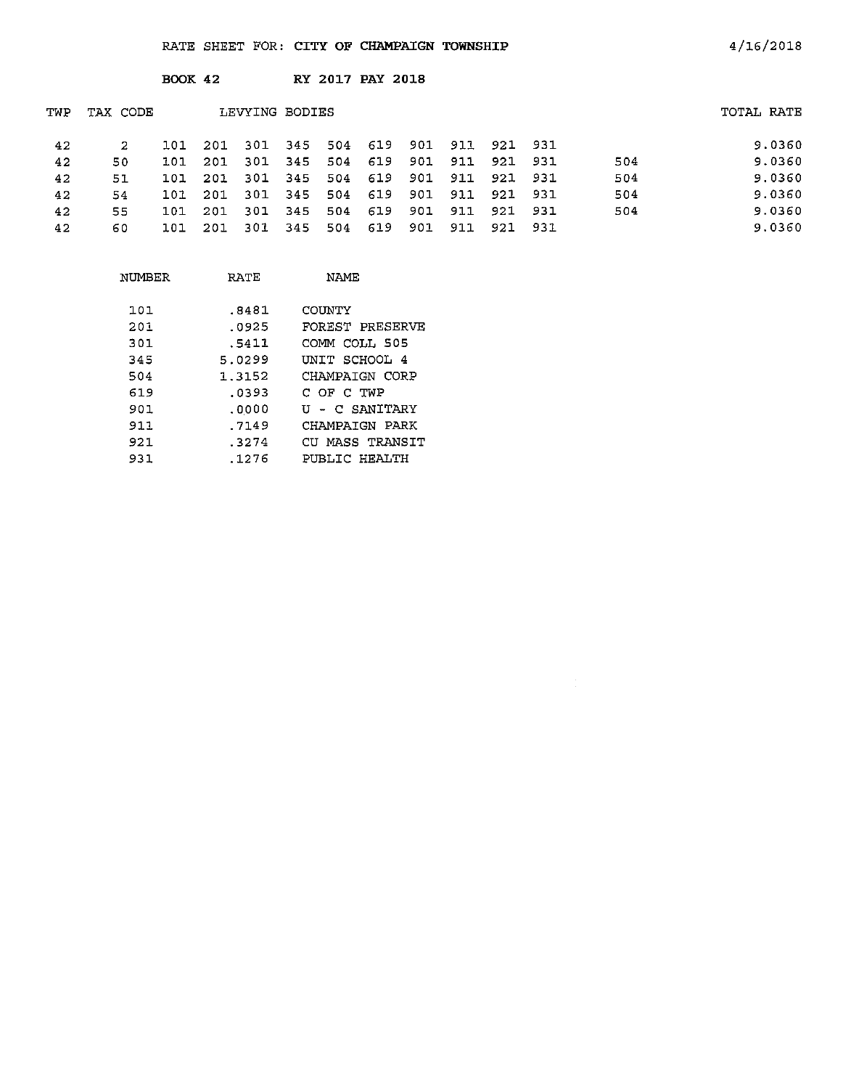|     |          | <b>BOOK 42</b> |     |                |         |     | <b>RY 2017 PAY 2018</b>         |     |     |     |      |     |            |
|-----|----------|----------------|-----|----------------|---------|-----|---------------------------------|-----|-----|-----|------|-----|------------|
| TWP | TAX CODE |                |     | LEVYING BODIES |         |     |                                 |     |     |     |      |     | TOTAL RATE |
| 42  | 2        | 101            | 201 |                |         |     | 301 345 504 619 901 911 921 931 |     |     |     |      |     | 9.0360     |
| 42  | 50       | 101            | 201 |                | 301 345 |     | 504 619                         | 901 | 911 | 921 | 931  | 504 | 9.0360     |
| 42  | 51       | 101            | 201 | 301            | 345     | 504 | 619                             | 901 | 911 | 921 | -931 | 504 | 9.0360     |
| 42  | 54       | 101            | 201 | 301            | 345     | 504 | 619                             | 901 | 911 | 921 | 931  | 504 | 9.0360     |
| 42  | 55       | 101            | 201 |                | 301 345 | 504 | 619                             | 901 | 911 | 921 | 931  | 504 | 9.0360     |
| 42  | 60       | 101            | 201 | 301            | 345     | 504 | 619                             | 901 | 911 | 921 | -931 |     | 9.0360     |

| NUMBER | RATE   | NAME            |
|--------|--------|-----------------|
| 101    | .8481  | COUNTY          |
| 201    | .0925  | FOREST PRESERVE |
| 301    | .5411  | COMM COLL 505   |
| 345    | 5.0299 | UNIT SCHOOL 4   |
| 504    | 1.3152 | CHAMPAIGN CORP  |
| 619    | .0393  | C OF C TWP      |
| 901    | .0000  | U - C SANITARY  |
| 911    | .7149  | CHAMPAIGN PARK  |
| 921    | .3274  | CU MASS TRANSIT |
| 931    | .1276  | PUBLIC HEALTH   |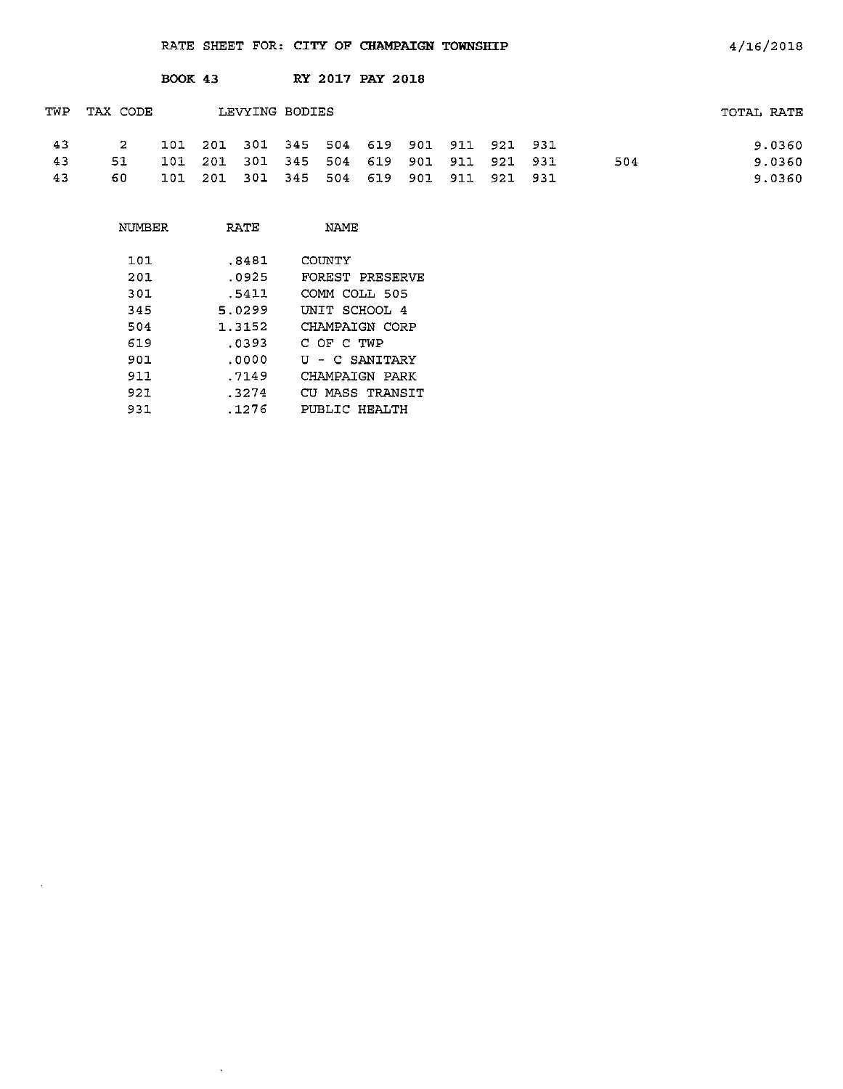|     |             | <b>BOOK 43</b> |                |  | RY 2017 PAY 2018                        |  |  |     |            |
|-----|-------------|----------------|----------------|--|-----------------------------------------|--|--|-----|------------|
| TWP | TAX CODE    |                | LEVYING BODIES |  |                                         |  |  |     | TOTAL RATE |
| -43 | $2^{\circ}$ |                |                |  | 101 201 301 345 504 619 901 911 921 931 |  |  |     | 9.0360     |
| 43  | 51          |                |                |  | 101 201 301 345 504 619 901 911 921 931 |  |  | 504 | 9.0360     |
| 43  | 60          | 101            |                |  | 201 301 345 504 619 901 911 921 931     |  |  |     | 9.0360     |

| NUMBER | RATE   | NAME            |
|--------|--------|-----------------|
| 101    | .8481  | COUNTY          |
| 201    | .0925  | FOREST PRESERVE |
| 301.   | .5411  | COMM COLL 505   |
| 345    | 5.0299 | UNIT SCHOOL 4   |
| 504    | 1.3152 | CHAMPAIGN CORP  |
| 619    | . ივ93 | C OF C TWP      |
| 901    | .0000  | U - C SANITARY  |
| 911    | .7149  | CHAMPAIGN PARK  |
| 921    | .3274  | CU MASS TRANSIT |
| 931    | .1276  | PUBLIC HEALTH   |

 $\sim$   $\sim$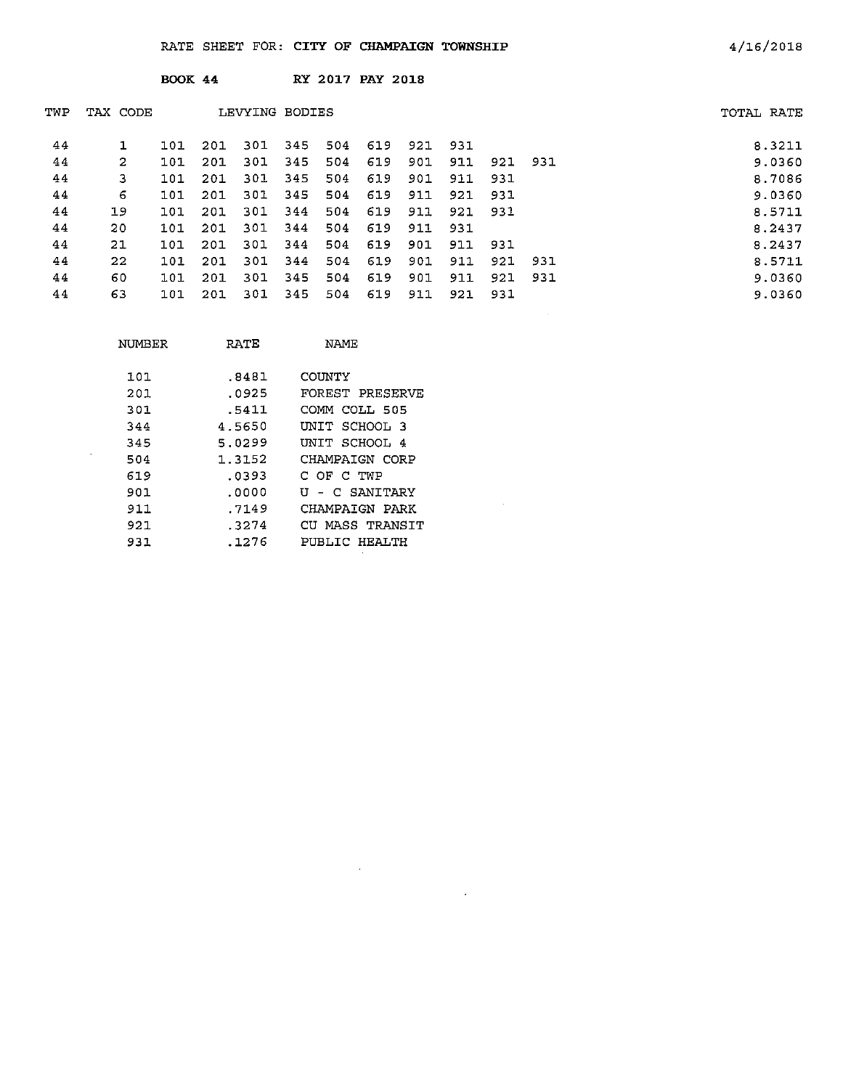|                |     |          |                |      |     |                |     |                         |     |     | TOTAL RATE |
|----------------|-----|----------|----------------|------|-----|----------------|-----|-------------------------|-----|-----|------------|
|                | 101 | -201     | 301            | 345  | 504 | 619            | 921 | 931                     |     |     | 8.3211     |
| $\overline{2}$ | 101 | 201      | 301            | -345 | 504 | 619            | 901 | 911                     | 921 | 931 | 9,0360     |
| з              | 101 | 201      | 301            | 345  | 504 | 619            | 901 | 911                     | 931 |     | 8.7086     |
| 6              | 101 | 201      | 301            | 345  | 504 | 619            | 911 | 921                     | 931 |     | 9.0360     |
| 19             | 101 | 201      | 301            | -344 | 504 | 619            | 911 | 921                     | 931 |     | 8.5711     |
| 20             | 101 | 201      | 301            | 344  | 504 | 619            | 911 | 931                     |     |     | 8.2437     |
| 21             | 101 | 201      | 301            | 344  | 504 | 619            | 901 | 911                     | 931 |     | 8.2437     |
| 22             | 101 | 201      | 301            | 344  | 504 | 619            | 901 | 911                     | 921 | 931 | 8.5711     |
| 60             | 101 | 201      | 301            | 345  | 504 | 619            | 901 | 911                     | 921 | 931 | 9.0360     |
| 63             | 101 | 201      | 301            | 345  | 504 | 619            | 911 | 921                     | 931 |     | 9.0360     |
|                |     | TAX CODE | <b>BOOK 44</b> |      |     | LEVYING BODIES |     | <b>RY 2017 PAY 2018</b> |     |     |            |

 $\sim$ 

| NUMBER | RATE   | NAMF            |
|--------|--------|-----------------|
| 101    | .8481  | COUNTY          |
| 201    | .0925  | FOREST PRESERVE |
| 301    | .5411  | COMM COLL 505   |
| 344    | 4.5650 | UNIT SCHOOL 3   |
| 345    | 5.0299 | INTT SCHOOL 4   |
| 504    | 1.3152 | CHAMPAIGN CORP  |
| 619    | .0393  | C OF C TWP      |
| 901    | .0000  | U - C SANTTARY  |
| 911    | .7149  | CHAMPAIGN PARK  |
| 921    | .3274  | CU MASS TRANSTT |
| 931    | . 1276 | PUBLIC HEALTH   |

 $\sim 10^{11}$ 

 $\mathcal{A}^{\mathcal{A}}$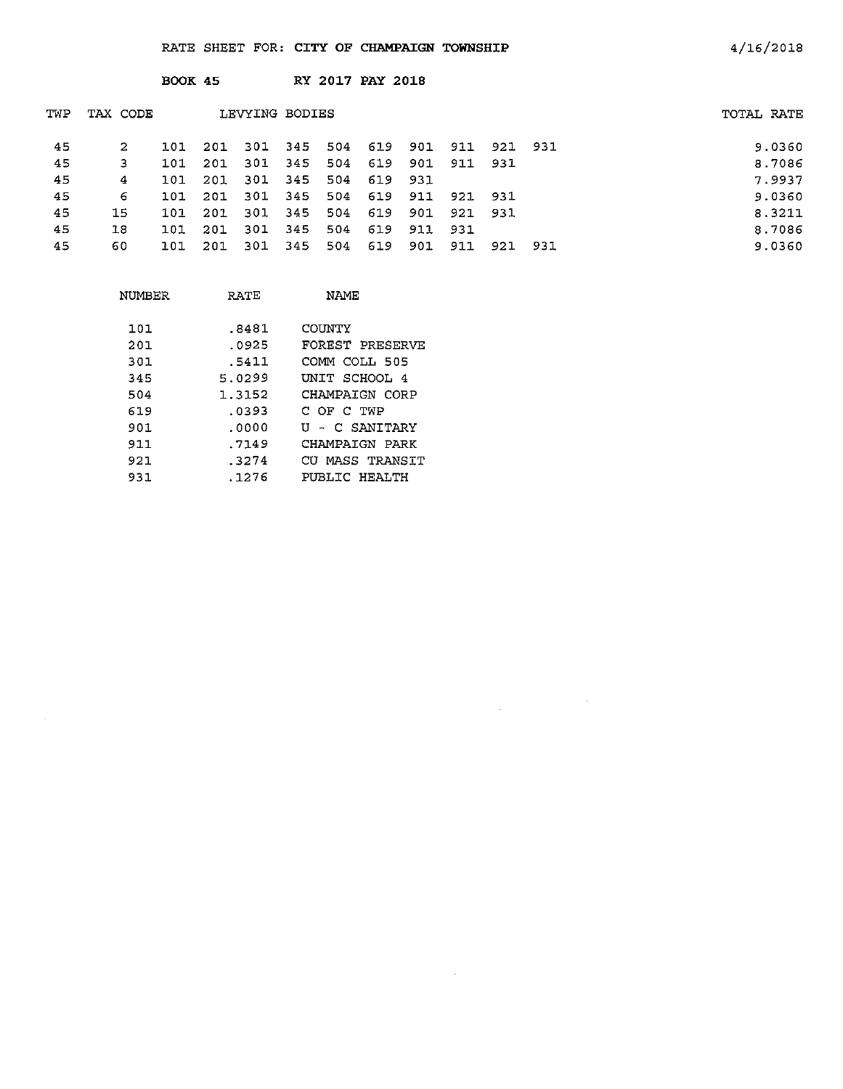BOOK 45 RY 2017 PAY 2018

| TWP | TAX CODE |     |      | LEVYING BODIES |       |     |         |     |             |                 |      | TOTAL RATE |
|-----|----------|-----|------|----------------|-------|-----|---------|-----|-------------|-----------------|------|------------|
| 45  | 2        | 101 | 201  | -301           | 345   | 504 | 619     |     |             | 901 911 921 931 |      | 9.0360     |
| 45  | 3        | 101 | 201  | -301           | 345   | 504 | 619     |     | 901 911 931 |                 |      | 8.7086     |
| 45  | 4        | 101 | 201  | -301           | 345   | 504 | 619 931 |     |             |                 |      | 7.9937     |
| 45  | 6        | 101 | -201 | -301           | 345   | 504 | 619     |     | 911 921 931 |                 |      | 9.0360     |
| 45  | 15       | 101 | -201 | 301            | 345   | 504 | 619     | 901 | 921 931     |                 |      | 8.3211     |
| 45  | 18       | 101 | 201  | 301            | - 345 | 504 | 619     | 911 | - 931       |                 |      | 8.7086     |
| 45  | 60       | 101 | 201  | 301            | 345   | 504 | 619     | 901 | 911         | 921             | -931 | 9.0360     |
|     |          |     |      |                |       |     |         |     |             |                 |      |            |

 $\label{eq:2.1} \frac{1}{\sqrt{2\pi}}\int_{\mathbb{R}^3}\frac{1}{\sqrt{2\pi}}\left(\frac{1}{\sqrt{2\pi}}\right)^2\frac{1}{\sqrt{2\pi}}\int_{\mathbb{R}^3}\frac{1}{\sqrt{2\pi}}\frac{1}{\sqrt{2\pi}}\frac{1}{\sqrt{2\pi}}\frac{1}{\sqrt{2\pi}}\frac{1}{\sqrt{2\pi}}\frac{1}{\sqrt{2\pi}}\frac{1}{\sqrt{2\pi}}\frac{1}{\sqrt{2\pi}}\frac{1}{\sqrt{2\pi}}\frac{1}{\sqrt{2\pi}}\frac{1}{\sqrt{2\pi}}\frac{$ 

 $\sim 10^{-11}$ 

| NUMBER | RATE   | NAME            |
|--------|--------|-----------------|
| 101    | .8481  | COUNTY          |
| 201    | .0925  | FOREST PRESERVE |
| 301    | .5411  | COMM COLL 505   |
| 345    | 5.0299 | UNIT SCHOOL 4   |
| 504    | 1.3152 | CHAMPAIGN CORP  |
| 619    | .0393  | C OF C TWP      |
| 901    | .0000  | II - C SANTTARY |
| 911    | .7149  | CHAMPAIGN PARK  |
| 921    | .3274  | CU MASS TRANSIT |
| 931    | . 1276 | PUBLIC HEALTH   |

 $\mathcal{A}^{\mathcal{A}}$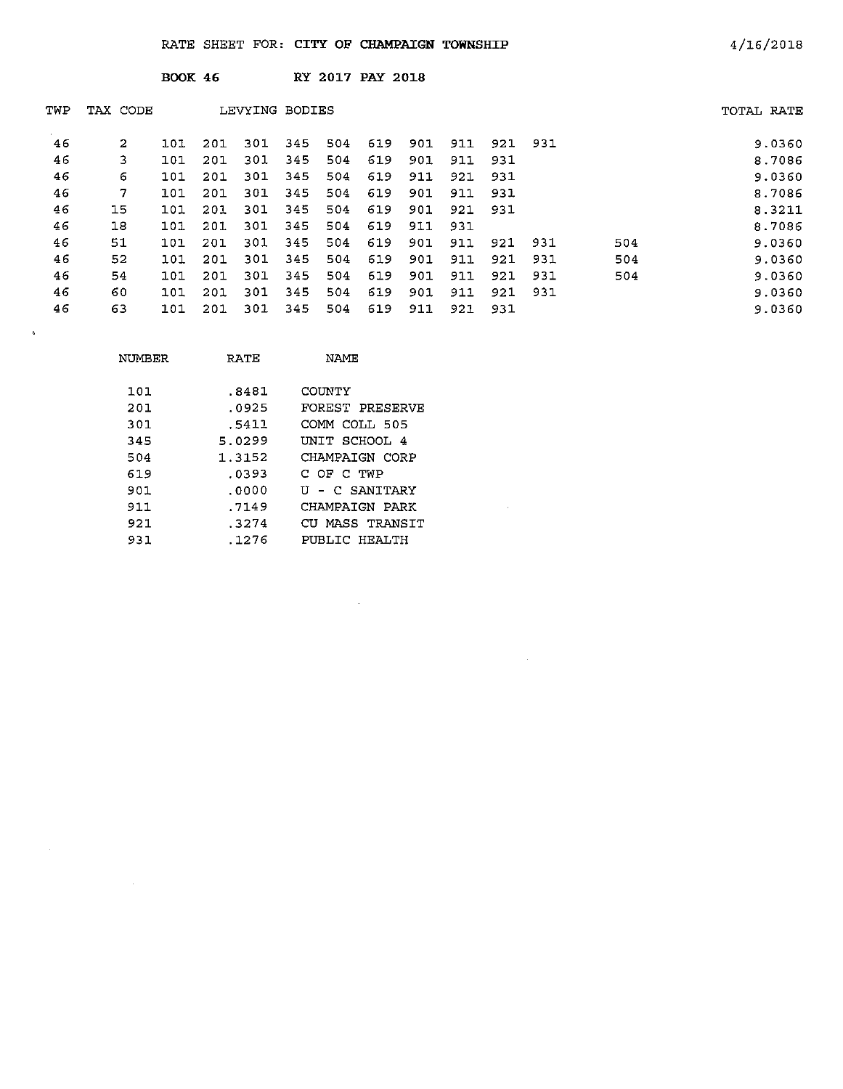|     |          | <b>BOOK 46</b> |     |                |     |     | <b>RY 2017 PAY 2018</b> |     |     |     |      |     |            |
|-----|----------|----------------|-----|----------------|-----|-----|-------------------------|-----|-----|-----|------|-----|------------|
| TWP | TAX CODE |                |     | LEVYING BODIES |     |     |                         |     |     |     |      |     | TOTAL RATE |
| 46  | 2        | 101            | 201 | 301            | 345 | 504 | 619                     | 901 | 911 | 921 | -931 |     | 9.0360     |
| 46  | 3        | 101            | 201 | 301            | 345 | 504 | 619                     | 901 | 911 | 931 |      |     | 8.7086     |
| 46  | 6        | 101            | 201 | 301            | 345 | 504 | 619                     | 911 | 921 | 931 |      |     | 9.0360     |
| 46  | 7        | 101            | 201 | 301            | 345 | 504 | 619                     | 901 | 911 | 931 |      |     | 8.7086     |
| 46  | 15       | 101            | 201 | 301            | 345 | 504 | 619                     | 901 | 921 | 931 |      |     | 8.3211     |
| 46  | 18       | 101            | 201 | 301            | 345 | 504 | 619                     | 911 | 931 |     |      |     | 8.7086     |
| 46  | 51       | 101            | 201 | 301            | 345 | 504 | 619                     | 901 | 911 | 921 | 931  | 504 | 9.0360     |
| 46  | 52       | 101            | 201 | 301            | 345 | 504 | 619                     | 901 | 911 | 921 | 931  | 504 | 9.0360     |
| 46  | 54       | 101            | 201 | 301            | 345 | 504 | 619                     | 901 | 911 | 921 | 931  | 504 | 9.0360     |
| 46  | 60       | 101            | 201 | 301            | 345 | 504 | 619                     | 901 | 911 | 921 | 931  |     | 9.0360     |
| 46  | 63       | 101            | 201 | 301            | 345 | 504 | 619                     | 911 | 921 | 931 |      |     | 9.0360     |

 $\sim 40\%$ 

 $\sim 10^{-11}$ 

| NUMBER | RATE   | NAME            |
|--------|--------|-----------------|
| 101    | .8481  | COINTY          |
| 201    | .0925  | FOREST PRESERVE |
| 301    | .5411  | СОММ СОТТ 505   |
| 345    | 5.0299 | UNIT SCHOOL 4   |
| 504    | 1.3152 | CHAMPAIGN CORP  |
| 619    | .0393  | C OF C TWP      |
| 901    | .0000  | U - C SANITARY  |
| 911    | .7149  | CHAMPAIGN PARK  |
| 921    | .3274  | CU MASS TRANSIT |
| 931    | . 1276 | PUBLIC HEALTH   |

 $\sim 10$ 

 $\sim$ 

 $\mathcal{L}(\mathcal{L}^{\text{max}}_{\text{max}})$  . The  $\mathcal{L}^{\text{max}}_{\text{max}}$ 

 $\sim 10^{11}$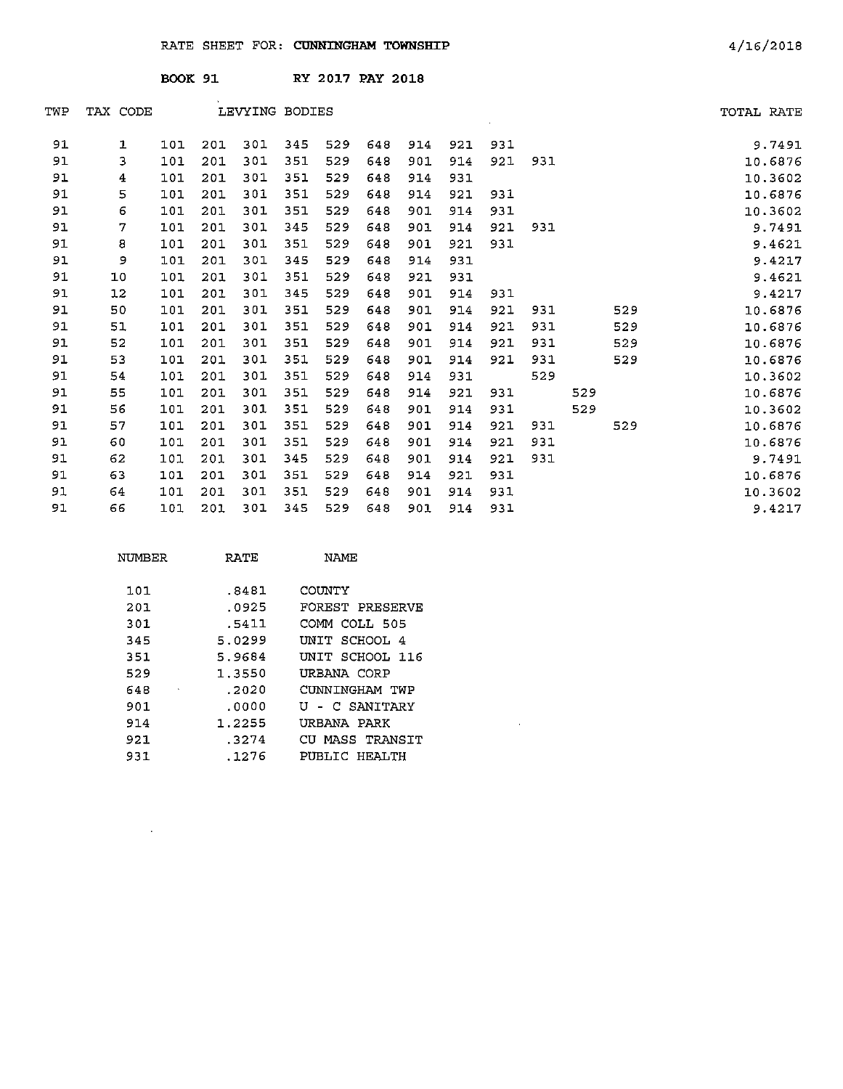|     |              | <b>BOOK 91</b> |     |                |     | RY 2017 PAY 2018 |     |     |     |     |     |     |     |            |
|-----|--------------|----------------|-----|----------------|-----|------------------|-----|-----|-----|-----|-----|-----|-----|------------|
| TWP | TAX CODE     |                |     | LEVYING BODIES |     |                  |     |     |     |     |     |     |     | TOTAL RATE |
| 91  | $\mathbf{1}$ | 101            | 201 | 301            | 345 | 529              | 648 | 914 | 921 | 931 |     |     |     | 9.7491     |
| 91  | 3            | 101            | 201 | 301            | 351 | 529              | 648 | 901 | 914 | 921 | 931 |     |     | 10.6876    |
| 91  | 4            | 101            | 201 | 301            | 351 | 529              | 648 | 914 | 931 |     |     |     |     | 10.3602    |
| 91  | 5            | 101            | 201 | 301            | 351 | 529              | 648 | 914 | 921 | 931 |     |     |     | 10.6876    |
| 91  | 6            | 101            | 201 | 301            | 351 | 529              | 648 | 901 | 914 | 931 |     |     |     | 10.3602    |
| 91  | 7            | 101            | 201 | 301            | 345 | 529              | 648 | 901 | 914 | 921 | 931 |     |     | 9.7491     |
| 91  | 8            | 101            | 201 | 301            | 351 | 529              | 648 | 901 | 921 | 931 |     |     |     | 9.4621     |
| 91  | 9            | 101            | 201 | 301            | 345 | 529              | 648 | 914 | 931 |     |     |     |     | 9.4217     |
| 91  | 10           | 101            | 201 | 301            | 351 | 529              | 648 | 921 | 931 |     |     |     |     | 9.4621     |
| 91  | 12           | 101            | 201 | 301            | 345 | 529              | 648 | 901 | 914 | 931 |     |     |     | 9.4217     |
| 91  | 50           | 101            | 201 | 301            | 351 | 529              | 648 | 901 | 914 | 921 | 931 |     | 529 | 10.6876    |
| 91  | 51           | 101            | 201 | 301            | 351 | 529              | 648 | 901 | 914 | 921 | 931 |     | 529 | 10.6876    |
| 91  | 52           | 101            | 201 | 301            | 351 | 529              | 648 | 901 | 914 | 921 | 931 |     | 529 | 10.6876    |
| 91  | 53           | 101            | 201 | 301            | 351 | 529              | 648 | 901 | 914 | 921 | 931 |     | 529 | 10.6876    |
| 91  | 54           | 101            | 201 | 301            | 351 | 529              | 648 | 914 | 931 |     | 529 |     |     | 10.3602    |
| 91  | 55           | 101            | 201 | 301            | 351 | 529              | 648 | 914 | 921 | 931 |     | 529 |     | 10.6876    |
| 91  | 56           | 101            | 201 | 301            | 351 | 529              | 648 | 901 | 914 | 931 |     | 529 |     | 10.3602    |
| 91  | 57           | 101            | 201 | 301            | 351 | 529              | 648 | 901 | 914 | 921 | 931 |     | 529 | 10.6876    |
| 91  | 60           | 101            | 201 | 301            | 351 | 529              | 648 | 901 | 914 | 921 | 931 |     |     | 10.6876    |
| 91  | 62           | 101            | 201 | 301            | 345 | 529              | 648 | 901 | 914 | 921 | 931 |     |     | 9.7491     |
| 91  | 63           | 101            | 201 | 301            | 351 | 529              | 648 | 914 | 921 | 931 |     |     |     | 10.6876    |
| 91  | 64           | 101            | 201 | 301            | 351 | 529              | 648 | 901 | 914 | 931 |     |     |     | 10.3602    |
| 91  | 66           | 101            | 201 | 301            | 345 | 529              | 648 | 901 | 914 | 931 |     |     |     | 9.4217     |

 $\mathcal{L}^{\text{max}}_{\text{max}}$  and  $\mathcal{L}^{\text{max}}_{\text{max}}$ 

| NUMBER | RATE   | NAME            |
|--------|--------|-----------------|
| 101    | .8481  | COUNTY          |
| 201    | .0925  | FOREST PRESERVE |
| 301    | .5411  | COMM COLL 505   |
| 345    | 5.0299 | INIT SCHOOL 4   |
| 351    | 5.9684 | UNIT SCHOOL 116 |
| 529    | 1.3550 | URBANA CORP     |
| 648    | .2020  | CUNNINGHAM TWP  |
| 901    | .0000  | U - C SANITARY  |
| 914    | 1.2255 | URBANA PARK     |
| 921    | .3274  | CU MASS TRANSIT |
| 931    | .1276  | PUBLIC HEALTH   |

 $\mathcal{L}^{\mathcal{L}}(\mathcal{A})$  and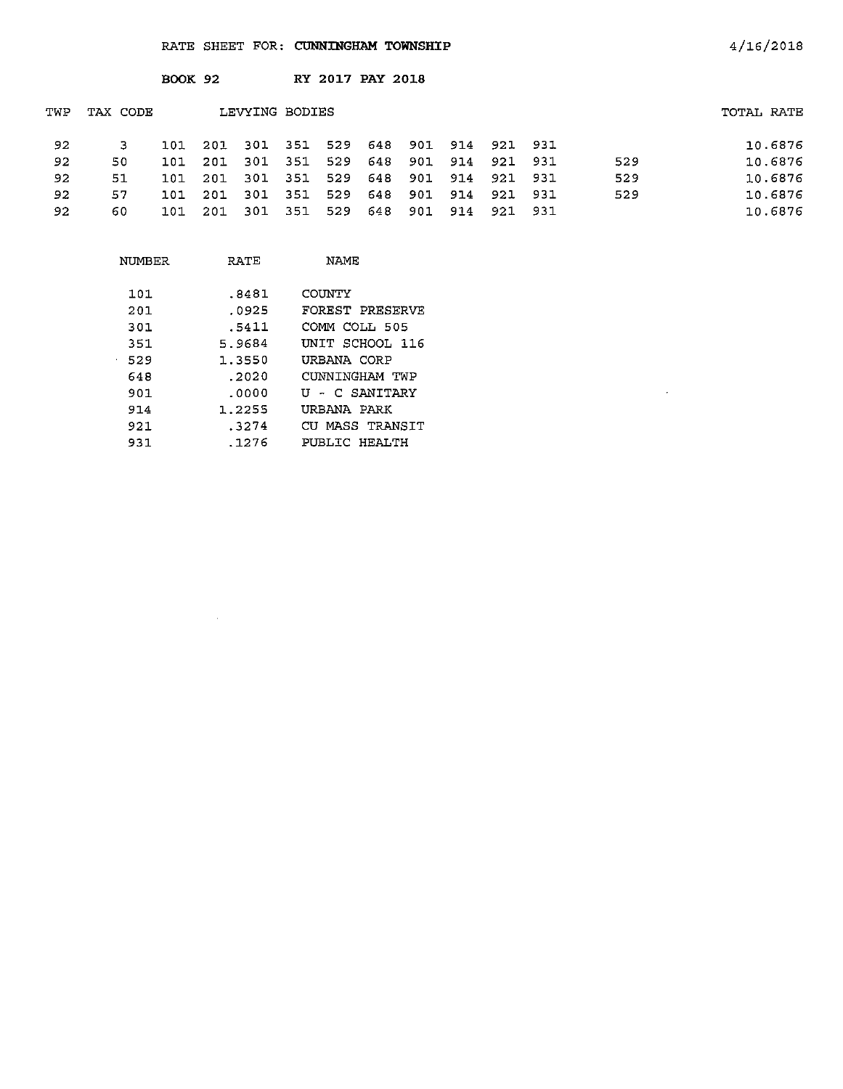|     |          | <b>BOOK 92</b> |     |      |                | RY 2017 PAY 2018 |     |     |         |         |       |     |            |
|-----|----------|----------------|-----|------|----------------|------------------|-----|-----|---------|---------|-------|-----|------------|
| TWP | TAX CODE |                |     |      | LEVYING BODIES |                  |     |     |         |         |       |     | TOTAL RATE |
| 92  | з        | 101            | 201 | 301  | 351            | 529              | 648 |     | 901 914 | 921 931 |       |     | 10.6876    |
| 92  | 50       | 101            | 201 | -301 | -351           | 529              | 648 | 901 | 914     | 921 931 |       | 529 | 10.6876    |
| 92  | 51       | 101            | 201 | 301  | 351            | 529              | 648 | 901 | 914     | 921     | -931  | 529 | 10.6876    |
| 92  | 57       | 101            | 201 | -301 | 351            | 529              | 648 | 901 | 914     | 921     | 931   | 529 | 10.6876    |
| 92  | 60       | 101.           | 201 | -301 | 351            | 529              | 648 | 901 | 914     | 921     | - 931 |     | 10.6876    |

| NUMBER           | RATE   | NAME            |  |  |  |
|------------------|--------|-----------------|--|--|--|
| 101              | .8481  | COUNTY          |  |  |  |
|                  |        |                 |  |  |  |
| 201              | .0925  | FOREST PRESERVE |  |  |  |
| 301              | .5411  | СОММ СОЊ 505    |  |  |  |
| 351              | 5.9684 | UNIT SCHOOL 116 |  |  |  |
| 529<br>$\bullet$ | 1.3550 | URBANA CORP     |  |  |  |
| 648              | . 2020 | CUNNINGHAM TWP  |  |  |  |
| 901              | . ೧೧೦೦ | U - C SANITARY  |  |  |  |
| 914              | 1.2255 | URBANA PARK     |  |  |  |
| 921              | .3274  | CU MASS TRANSIT |  |  |  |
| 931              | . 1276 | PUBLIC HEALTH   |  |  |  |

 $\sim$ 

 $\mathcal{A}$